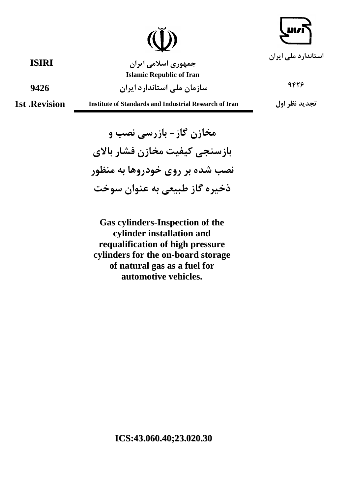

جمهوری اسلامی ایران **Islamic Republic of Iran** 

سازمان ملے استاندارد ایران

**1st .Revision** 

9426

**Institute of Standards and Industrial Research of Iran** 

مخازن گاز- بازرسی نصب و بازسنجي كيفيت مخازن فشار بالاي نصب شده بر روی خودروها به منظور ذخيره گاز طبيعي به عنوان سوخت

**Gas cylinders-Inspection of the** cylinder installation and requalification of high pressure cylinders for the on-board storage of natural gas as a fuel for automotive vehicles.

استاندار د ملي ايران

9428

تجديد نظر اول

**ISIRI**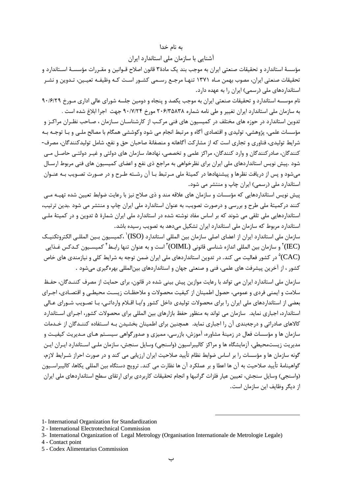#### به نام خدا

آشنایی با سازمان ملی استاندارد ایران

مؤسسهٔ استاندارد و تحقیقات صنعتی ایران به موجب بند یک مادهٔ۳ قانون اصلاح قـوانین و مقـررات مؤسسـهٔ اسـتاندارد و تحقیقات صنعتی ایران، مصوب بهمن مـاه ١٣٧١ تنهـا مرجـع رسـمی کشـور اسـت کـه وظیفـه تعیـین، تـدوین و نشـر استانداردهای ملی (رسمی) ایران را به عهده دارد.

نام موسسه استاندارد و تحقیقات صنعتی ایران به موجب یکصد و پنجاه و دومین جلسه شورای عالی اداری مـورخ ۹۰/۶/۲۹ به سازمان ملي استاندارد ايران تغيير و طي نامه شماره ٢٠۶/٣۵٨٣٨ مورخ ٩٠/٧/٢۴ جهت اجرا ابلاغ شده است .

تدوین استاندارد در حوزه های مختلف در کمیسیون های فنی مرکب از کارشناسـان سـازمان ، صـاحب نظـران مراکـز و مؤسسات علمي، پژوهشي، توليدي و اقتصادي آگاه و مرتبط انجام مي شود وكوششي همگام با مصالح ملـي و بــا توجــه بــه شرایط تولیدی، فناوری و تجاری است که از مشارکت آگاهانه و منصفانهٔ صاحبان حق و نفع، شامل تولیدکنندگان، مصرف-کنندگان، صادرکنندگان و وارد کنندگان، مراکز علمی و تخصصی، نهادها، سازمان های دولتی و غیـر دولتـی حاصـل مـی شود .پیش نویس استانداردهای ملی ایران برای نظرخواهی به مراجع ذی نفع و اعضای کمیسیون های فنی مربوط ارسـال میشود و پس از دریافت نظرها و پیشنهادها در کمیتهٔ ملی مـرتبط بـا آن رشـته طـرح و در صـورت تصـویب بـه عنـوان استاندارد ملی (رسمی) ایران چاپ و منتشر می شود.

پیش نویس استانداردهایی که مؤسسات و سازمان های علاقه مند و ذی صلاح نیز با رعایت ضوابط تعیین شده تهیــه مــی کنند درکمیتهٔ ملی طرح و بررسی و درصورت تصویب، به عنوان استاندارد ملی ایران چاپ و منتشر می شود .بدین ترتیب، استانداردهایی ملی تلقی می شوند که بر اساس مفاد نوشته شده در استاندارد ملی ایران شمارهٔ ۵ تدوین و در کمیتهٔ ملـی استاندارد مربوط که سازمان ملی استاندارد ایران تشکیل میدهد به تصویب رسیده باشد.

سازمان ملی استاندارد ایران از اعضای اصلی سازمان بین المللی استاندارد (ISO)` ،کمیسیون بـین المللــ الکتروتکنیـک و سازمان بين المللي اندازه شناسي قانوني (OIML) (OIML) است و به عنوان تنها رابـط أكميسـيون كـدكس غـذايي " در کشور فعالیت می کند. در تدوین استانداردهای ملی ایران ضمن توجه به شرایط کلی و نیازمندی های خاص  $\rm ^{^{\circ}}(CAC)$ کشور ، از آخرین پیشرفت های علمی، فنی و صنعتی جهان و استانداردهای بینالمللی بهرهگیری میشود .

سازمان ملی استاندارد ایران می تواند با رعایت موازین پیش بینی شده در قانون، برای حمایت از مصرف کننــدگان، حفـظ سلامت و ايمني فردي و عمومي، حصول اطمينان از كيفيت محصولات و ملاحظـات زيسـت محيطـي و اقتصـادي، اجـراي بعضی از استانداردهای ملی ایران را برای محصولات تولیدی داخل کشور و/یـا اقـلام وارداتـی، بـا تصـویب شـورای عـالی استاندارد، اجباری نماید. سازمان می تواند به منظور حفظ بازارهای بین المللی برای محصولات کشور، اجـرای اسـتاندارد کالاهای صادراتی و درجهبندی آن را اجباری نماید. همچنین برای اطمینان بخشیدن بـه اسـتفاده کننـدگان از خـدمات سازمان ها و مؤسسات فعال در زمینهٔ مشاوره، آموزش، بازرسی، ممیزی و صدورگواهی سیسـتم هـای مـدیریت کیفیـت و مدیریت زیستمحیطی، آزمایشگاه ها و مراکز کالیبراسیون (واسنجی) وسایل سنجش، سازمان ملـی اسـتاندارد ایـران ایـن گونه سازمان ها و مؤسسات را بر اساس ضوابط نظام تأييد صلاحيت ايران ارزيابي مي كند و در صورت احراز شـرايط لازم، گواهينامهٔ تأييد صلاحيت به آن ها اعطا و بر عملكرد آن ها نظارت مي كند. ترويج دستگاه بين المللي يكاها، كاليبراسـيون (واسنجی) وسایل سنجش، تعیین عیار فلزات گرانبها و انجام تحقیقات کاربردی برای ارتقای سطح استانداردهای ملی ایران از دیگر وظایف این سازمان است.

<sup>1-</sup> International Organization for Standardization

<sup>2 -</sup> International Electrotechnical Commission

<sup>3-</sup> International Organization of Legal Metrology (Organisation Internationale de Metrologie Legale)

<sup>4 -</sup> Contact point

<sup>5 -</sup> Codex Alimentarius Commission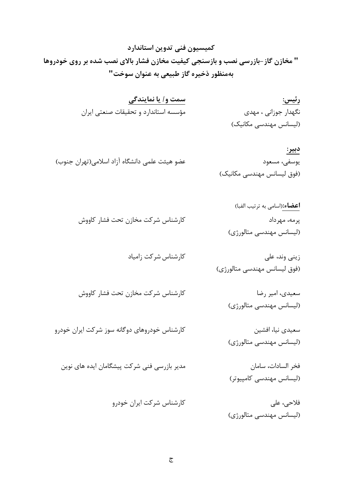كميسيون فني تدوين استاندارد " مخازن گاز-بازرسی نصب و بازسنجی کیفیت مخازن فشار بالای نصب شده بر روی خودروها بهمنظور ذخيره گاز طبيعي به عنوان سوخت"

| رئيس:                  | سمت و/ یا نمایندگی                    |
|------------------------|---------------------------------------|
| نگهدار جوزانی ، مهدی   | مؤسسه استاندارد و تحقیقات صنعتی ایران |
| (لیسانس مهندسی مکانیک) |                                       |

- دبير: عضو هيئت علمي دانشگاه آزاد اسلامي(تهران جنوب) يوسفي، مسعود (فوق لیسانس مهندسی مکانیک)
	- **اعضاء:**(اسامي به ترتيب الفبا) كارشناس شركت مخازن تحت فشار كاووش پرمه، مهرداد (لیسانس مهندسی متالورژی)

زيني وند، علي (فوق ليسانس مهندسي متالورژي)

سعيدي، امير رضا كارشناس شركت مخازن تحت فشار كاووش (لیسانس مهندسی متالورژی)

کارشناس خودروهای دوگانه سوز شرکت ایران خودرو

سعیدی نیا، افشین (لیسانس مهندسی متالورژی)

مدیر بازرسی فنی شرکت پیشگامان ایده های نوین

فخر السادات، سامان (لیسانس مهندسی کامپیوتر)

کارشناس شرکت ایران خودرو

کارشناس شرکت زامیاد

فلاحی، علی (لیسانس مهندسی متالورژی)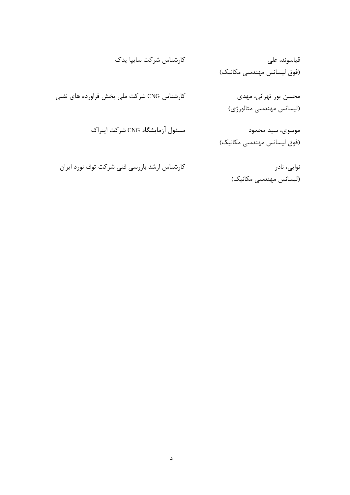نوايى، نادر (لیسانس مهندسی مکانیک)

کارشناس ارشد بازرسی فنی شرکت توف نورد ایران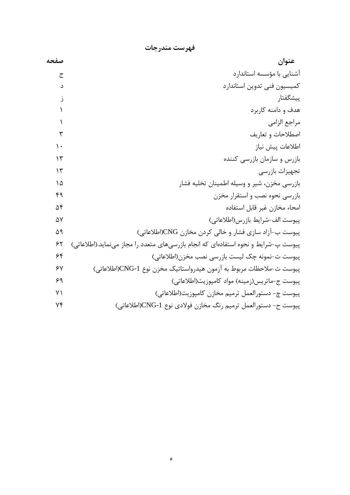| صفحه          | عنوان                                                                              |
|---------------|------------------------------------------------------------------------------------|
| ج             | آشنایی با مؤسسه استاندار د                                                         |
| د             | كميسيون فني تدوين استاندارد                                                        |
| ز             | پیشگفتار                                                                           |
|               | هدف و دامنه کاربرد                                                                 |
|               | مراجع الزامي                                                                       |
| ٣             | اصطلاحات و تعاريف                                                                  |
| $\mathcal{L}$ | اطلاعات پيش نياز                                                                   |
| ۱۳            | بازرس و سازمان بازرسی کننده                                                        |
| $\gamma$      | تجهيزات بازرسي                                                                     |
| ۱۵            | بازرسي مخزن، شير و وسيله اطمينان تخليه فشار                                        |
| ۴۹            | بازرسی نحوه نصب و استقرار مخزن                                                     |
| ۵۴            | امحاء مخازن غير قابل استفاده                                                       |
| ۵٧            | پیوست الف-شرایط بازرس(اطلاعاتی)                                                    |
| ۵۹            | پیوست ب-آزاد سازی فشار و خالی کردن مخازن CNG(اطلاعاتی)                             |
| ۶۲            | پیوست پ-شرایط و نحوه استفادهای که انجام بازرسیهای متعدد را مجاز مینماید.(اطلاعاتی) |
| ۶۴            | پیوست ت-نمونه چک لیست بازرسی نصب مخزن(اطلاعاتی)                                    |
| $\gamma$      | پیوست ث-ملاحظات مربوط به آزمون هیدرواستاتیک مخزن نوع CNG-1(اطلاعاتی)               |
| ۶۹            | پیوست ج–ماتریس(زمینه) مواد کامپوزیت(اطلاعاتی)                                      |
| ٧١            | پيوست چ- دستورالعمل ترميم مخازن كامپوزيت(اطلاعاتي)                                 |
| ٧۴            | پیوست ح- دستورالعمل ترمیم رنگ مخازن فولادی نوع CNG-1(اطلاعاتی)                     |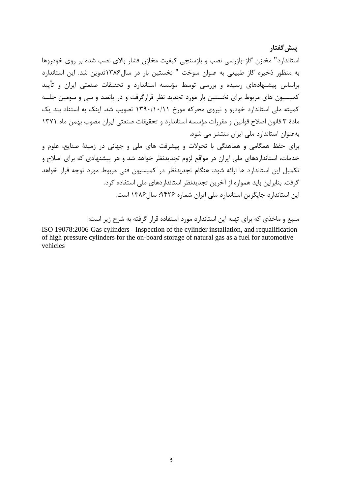استاندارد" مخازن گاز-بازرسی نصب و بازسنجی کیفیت مخازن فشار بالای نصب شده بر روی خودروها به منظور ذخیره گاز طبیعی به عنوان سوخت " نخستین بار در سال۱۳۸۶تدوین شد. این استاندارد براساس پیشنهادهای رسیده و بررسی توسط مؤسسه استاندارد و تحقیقات صنعتی ایران و تأیید کمیسیون های مربوط برای نخستین بار مورد تجدید نظر قرارگرفت و در پانصد و سی و سومین جلسه کمیته ملی استاندارد خودرو و نیروی محرکه مورخ ۱۳۹۰/۱۰/۱۱ تصویب شد. اینک به استناد بند یک مادهٔ ۳ قانون اصلاح قوانین و مقررات مؤسسه استاندارد و تحقیقات صنعتی ایران مصوب بهمن ماه ۱۳۷۱ بهعنوان استاندارد ملی ایران منتشر می شود.

ِيِيش گفتار

برای حفظ همگامی و هماهنگی با تحولات و پیشرفت های ملی و جهانی در زمینهٔ صنایع، علوم و خدمات، استانداردهای ملی ایران در مواقع لزوم تجدیدنظر خواهد شد و هر پیشنهادی که برای اصلاح و تکمیل این استاندارد ها ارائه شود، هنگام تجدیدنظر در کمیسیون فنی مربوط مورد توجه قرار خواهد گرفت. بنابراین باید همواره از آخرین تجدیدنظر استانداردهای ملی استفاده کرد. این استاندارد جایگزین استاندارد ملی ایران شماره ۹۴۲۶: سال ۱۳۸۶ است.

منبع و ماخذی که برای تهیه این استاندارد مورد استفاده قرار گرفته به شرح زیر است:

ISO 19078:2006-Gas cylinders - Inspection of the cylinder installation, and requalification of high pressure cylinders for the on-board storage of natural gas as a fuel for automotive vehicles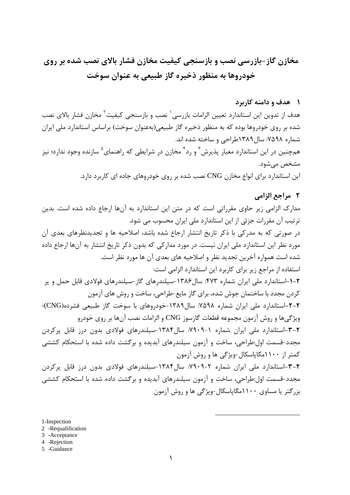# مخازن گاز-بازرسی نصب و بازسنجی کیفیت مخازن فشار بالای نصب شده بر روی خودروها به منظور ذخیره گاز طبیعی به عنوان سوخت

#### ۱ هدف و دامنه کاربرد

هدف از تدوین این استاندارد تعیین الزامات بازرسی<sup>٬</sup> نصب و بازسنجی کیفیت<sup>۲</sup> مخازن فشار بالای نصب شده بر روی خودروها بوده که به منظور ذخیره گاز طبیعی(بهعنوان سوخت) براساس استاندارد ملی ایران شماره ۷۵۹۸: سال ۱۳۸۹طراحی و ساخته شده اند. همچنین در این استاندارد معیار پذیرش<sup>۳</sup> و رد<sup>۴</sup> مخازن در شرایطی که راهنمای<sup>۵</sup> سازنده وجود ندارد؛ نیز مشخص مے شود.

این استاندارد برای انواع مخازن CNG نصب شده بر روی خودروهای جاده ای کاربرد دارد.

## ٢ مراجع الزامي

مدارک الزامی زیر حاوی مقرراتی است که در متن این استاندارد به آنها ارجاع داده شده است. بدین ترتیب آن مقررات جزئی از این استاندارد ملی ایران محسوب می شود. در صورتی که به مدرکی با ذکر تاریخ انتشار ارجاع شده باشد، اصلاحیه ها و تجدیدنظرهای بعدی آن مورد نظر این استاندارد ملی ایران نیست. در مورد مدارکی که بدون ذکر تاریخ انتشار به آنها ارجاع داده شده است همواره آخرین تجدید نظر و اصلاحیه های بعدی آن ها مورد نظر است. استفاده از مراجع زیر برای کاربرد این استاندارد الزامی است: ۲-۱-استاندارد ملی ایران شماره ۴۷۳: سال۱۳۸۶-سیلندرهای گاز-سیلندرهای فولادی قابل حمل و پر كردن مجدد با ساختمان جوش شده، براي گاز مايع-طراحي، ساخت و روش هاي آزمون ۲-۲-استاندارد ملی ایران شماره ۷۵۹۸: سال۱۳۸۹-خودروهای با سوخت گاز طبیعی فشرده(CNG)-ویژگیها و روش آزمون مجموعه قطعات گازسوز CNG و الزامات نصب آنها بر روی خودرو ۲–۳–استاندارد ملی ایران شماره ۱–۲۹۰۹: سال۱۳۸۴–سیلندرهای فولادی بدون درز قابل پرکردن مجدد-قسمت اول:طراحی، ساخت و آزمون سیلندرهای آبدیده و برگشت داده شده با استحکام کششی کمتر از ۱۱۰۰مگاپاسکال-ویژگی ها و روش آزمون ۲-۳-استاندارد ملی ایران شماره ۲-۲۹۰۹: سال۱۳۸۴-سیلندرهای فولادی بدون درز قابل پرکردن مجدد-قسمت اول:طراحی، ساخت و آزمون سیلندرهای آبدیده و برگشت داده شده با استحکام کششی بزرگتر یا مساوی ۱۱۰۰مگایاسکال-ویژگی ها و روش آزمون

1-Inspection

- 2 -Requalification
- 3 -Acceptance
- 4 -Rejection
- 5 -Guidance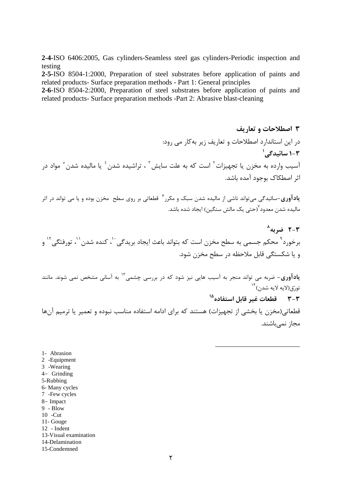2-4-ISO 6406:2005, Gas cylinders-Seamless steel gas cylinders-Periodic inspection and testing

2-5-ISO 8504-1:2000, Preparation of steel substrates before application of paints and related products- Surface preparation methods - Part 1: General principles

2-6-ISO 8504-2:2000, Preparation of steel substrates before application of paints and related products- Surface preparation methods -Part 2: Abrasive blast-cleaning

۳ اصطلاحات و تعاریف در این استاندارد اصطلاحات و تعاریف زیر به کار می رود: ۲-۱ سائىدگے<sub>،</sub>' آسيب وارده به مخزن يا تجهيزات<sup>٢</sup> است كه به علت سايش ّ ، تراشيده شدن <sup>٤</sup> يا ماليده شدن ْ مواد در اثر اصطكاك بوجود آمده باشد.

**یادآوری**-سائیدگی میتواند ناشی از مالیده شدن سبک و مکرر<sup>۶</sup> قطعاتی بر روی سطح مخزن بوده و یا می تواند در اثر مالیده شدن معدود<sup>۷</sup>(حتی یک مالش سنگین) ایجاد شده باشد.

 $^{\wedge}$ خد به  $^{\wedge}$ برخورد<sup>۹</sup> محکم جسمی به سطح مخزن است که بتواند باعث ایجاد بریدگی<sup>۱۰</sup>، کنده شدن<sup>۱٬</sup>، تورفتگی<sup>۱۲</sup> و و یا شکستگی قابل ملاحظه در سطح مخزن شود.

ی**ادآوری**– ضربه می تواند منجر به آسیب هایی نیز شود که در بررسی چشمی<sup>۱۳</sup> به آسانی مشخص نمی شوند. مانند تورّق(لايه لايه شدن)<sup>۱۴</sup>

۳–۳ مقطعات غیر قابل استفاده ۱<sup>۵</sup>

قطعاتی(مخزن یا بخشی از تجهیزات) هستند که برای ادامه استفاده مناسب نبوده و تعمیر یا ترمیم آنها مجاز نمي باشند.

- 1- Abrasion
- 2 -Equipment
- 3 -Wearing
- $4-$  Grinding
- 5-Rubbing
- 6- Many cycles
- 7 Few cycles
- 8- Impact
- $9 \text{Blow}$
- $10$  -Cut
- 11- Gouge
- 12 Indent
- 13-Visual examination
- 14-Delamination
- 15-Condemned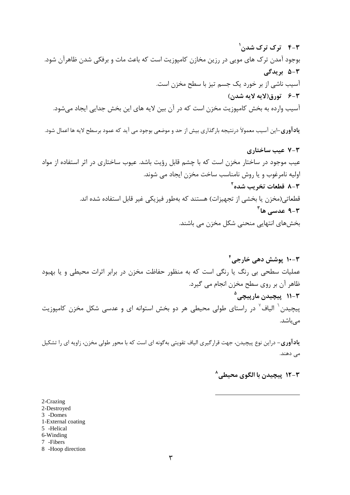ی**ادآوری**–این آسیب معمولاً درنتیجه بارگذاری بیش از حد و موضعی بوجود می آید که عمود برسطح لایه ها اعمال شود.

**۱۰**-۳ پوشش دهی خارجی<sup>۴</sup> عملیات سطحی بی رنگ یا رنگی است که به منظور حفاظت مخزن در برابر اثرات محیطی و یا بهبود ظاهر آن بر روي سطح مخزن انجام مي گيرد. ۲-۱۱ پیچیدن مارپیچی<sup>۵</sup> پیچیدن<sup>۲</sup> الیاف<sup>۷</sup> در راستای طولی محیطی هر دو بخش استوانه ای و عدسی شکل مخزن کامپوزیت مے باشد.

**یادآوری**– دراین نوع پیچیدن، جهت قرارگیری الیاف تقویتی بهگونه ای است که با محور طولی مخزن، زاویه ای را تشکیل مى دهند.

## ۲-۱۲ پیچیدن با الگوی محیطی<sup>^</sup>

2-Crazing 2-Destroyed 3 -Domes 1-External coating 5 -Helical 6-Winding 7 - Fibers

8 -Hoop direction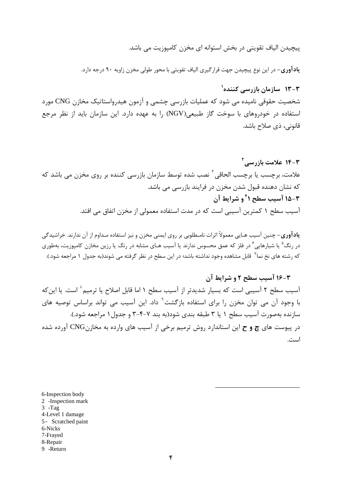پیچیدن الیاف تقویتی در بخش استوانه ای مخزن کامپوزیت می باشد.

**یادآوری**– در این نوع پیچیدن جهت قرارگیری الیاف تقویتی با محور طولی مخزن زاویه ۹۰ درجه دارد.

۲–۱۳ سازمان بازرسے کنندہ<sup>(</sup> شخصیت حقوقی نامیده می شود که عملیات بازرسی چشمی و آزمون هیدرواستاتیک مخازن CNG مورد استفاده در خودروهای با سوخت گاز طبیعی(NGV) را به عهده دارد. این سازمان باید از نظر مرجع قانونی، ذی صلاح باشد.

**14-3 علامت بازرسے آ** علامت، برچسب یا برچسب الحاقی <sup>۳</sup> نصب شده توسط سازمان بازرسی کننده بر روی مخزن می باشد که که نشان دهنده قبول شدن مخزن در فرایند بازرسی می باشد. **٣-١۵ آسيب سطح ١<sup>٢</sup> و شرايط آن** آسیب سطح ۱ کمترین آسیبی است که در مدت استفاده معمولی از مخزن اتفاق می افتد.

**یادآوری**– چنین آسیب هـایی معمولاً اثرات نامـطلوبی بر روی ایمنی مخزن و نیز استفاده مـداوم از آن ندارند. خراشیدگی د٫ ٫نگ<sup>۵</sup> یا شیا٫هایی<sup>۶</sup> د٫ فلز که عمق محسوس ندارند یا آسیب هـای مشابه در رنگ یا رزین مخازن کامپوزیت، بهطوری که رشته های نخ نما<sup>۷</sup> قابل مشاهده وجود نداشته باشد؛ در این سطح در نظر گرفته می شوند(به جدول ۱ مراجعه شود.).

## ۴-۱۶ آسیب سطح ۲ و شرایط آن

آسیب سطح ۲ آسیبی است که بسیار شدیدتر از آسیب سطح ۱ اما قابل اصلاح یا ترمیم ٔ است. یا اینکه با وجود آن می توان مخزن را برای استفاده بازگشت<sup>۹</sup> داد. این آسیب می تواند براساس توصیه های سازنده بهصورت آسیب سطح ۱ یا ۳ طبقه بندی شود(به بند ۷-۴-۳ و جدول ۱ مراجعه شود.). در پیوست های چ و ح این استاندارد روش ترمیم برخی از آسیب های وارده به مخازنCNG آورده شده است.

6-Inspection body 2 -Inspection mark  $3 - Tag$ 4-Level 1 damage 5- Scratched paint 6-Nicks 7-Frayed 8-Repair 9 -Return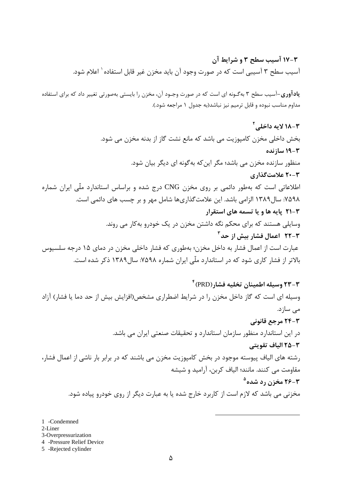## ۰۳-۱۷ آسیب سطح ۳ و شرایط آن آسيب سطح ٣ آسيبي است كه در صورت وجود آن بايد مخزن غير قابل استفاده` اعلام شود.

یادآوری-آسیب سطح ۳ بهگـونه ای است که در صورت وجـود آن، مخزن را بایستی بهصورتی تغییر داد که برای استفاده مداوم مناسب نبوده و قابل ترمیم نیز نباشد(به جدول ۱ مراجعه شود.).

۲-۲۳ وسیله اطمینان تخلیه فشار(PRD) وسیله ای است که گاز داخل مخزن را در شرایط اضطراری مشخص(افزایش بیش از حد دما یا فشار) آزاد مى سازد. 2-24 مرجع قانوني در این استاندارد منظور سازمان استاندارد و تحقیقات صنعتی ایران می باشد. ٢-٢٥ الياف تقويتي رشته های الیاف پیوسته موجود در بخش کامپوزیت مخزن می باشند که در برابر بار ناشی از اعمال فشار، مقاومت می کنند. مانند؛ الیاف کربن، آرامید و شیشه **۳-۲۶ مخزن رد شده<sup>ه</sup>** مخزنی می باشد که لازم است از کاربرد خارج شده یا به عبارت دیگر از روی خودرو پیاده شود.

1 -Condemned

2-Liner

3-Overpressurization

4 -Pressure Relief Device

5 -Rejected cylinder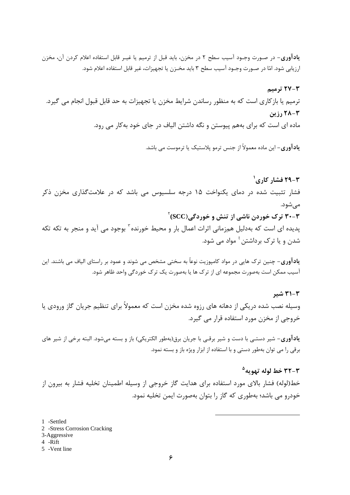**یادآوری**- در صـورت وجـود آسیب سطح ۲ در مخزن، باید قبل از ترمیم یا غیـر قابل استفاده اعلام کردن آن، مخزن ارزيابي شود. امّا در صـورت وجـود آسيب سطح ٣ بايد مخـزن يا تجهيزات، غير قابل استفاده اعلام شود.

۲-۲۷ ترمىم ترمیم یا بازکاری است که به منظور رساندن شرایط مخزن یا تجهیزات به حد قابل قبول انجام می گیرد.  $\cdots$  i,  $\mathsf{Y}\Lambda-\mathsf{Y}$ ماده ای است که برای بههم پیوستن و نگه داشتن الیاف در جای خود بهکار می رود.

**یادآوری**– این ماده معمولاً از جنس ترمو پلاستیک یا ترموست می باشد.

**۲–۲۹ فشار کاری<sup>(</sup>** فشار تثبیت شده در دمای یکنواخت ۱۵ درجه سلسیوس می باشد که در علامتگذاری مخزن ذکر مي شود. ۳۰-۳ ترک خوردن ناشي از تنش و خوردگي (SCC) پدیده ای است که بهدلیل همزمانی اثرات اعمال بار و محیط خورنده ٔ بوجود می آید و منجر به تکه تکه شدن و یا ترک برداشتن <sup>؛</sup> مواد می شود.

**یادآوری**– چنین ترک هایی در مواد کامپوزیت نوعاً به سختی مشخص می شوند و عمود بر راستای الیاف می باشند. این آسیب ممکن است بهصورت مجموعه ای از ترک ها یا بهصورت یک ترک خوردگی واحد ظاهر شود.

۳-۳۱ شیر وسیله نصب شده دریکی از دهانه های رزوه شده مخزن است که معمولاً برای تنظیم جریان گاز ورودی یا خروجی از مخزن مورد استفاده قرار می گیرد.

**یادآوری**– شیر دستـی با دست و شیر برقـی با جریان برق(بهطور الکتریکی) باز و بسته میشود. البته برخی از شیر های برقی را می توان بهطور دستی و با استفاده از ابزار ویژه باز و بسته نمود.

۳-۳۲ خط لوله تهو به<sup>۵</sup> خط(لوله) فشار بالای مورد استفاده برای هدایت گاز خروجی از وسیله اطمینان تخلیه فشار به بیرون از خودرو می باشد؛ بهطوری که گاز را بتوان بهصورت ایمن تخلیه نمود.

1 -Settled

- 2 -Stress Corrosion Cracking
- 3-Aggressive
- $4$  -Rift
- 5 -Vent line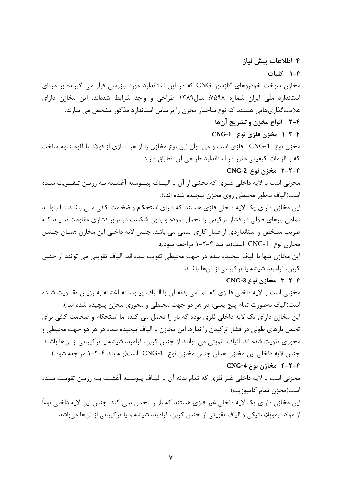۱-۴ کلیات مخازن سوخت خودروهای گازسوز CNG که در این استاندارد مورد بازرسی قرار می گیرند؛ بر مبنای استاندارد ملّی ایران شماره ۷۵۹۸: سال۱۳۸۹ طراحی و واجد شرایط شدهاند. این مخازن دارای علامت گذاریهایی هستند که نوع ساختار مخزن را براساس استاندارد مذکور مشخص می سازند.

## ۲-۲ انواع مخزن و تشریح آنها

۴ اطلاعات پیش نیاز

۴-۲-۱ مخزن فلزي نوع CNG-1

مخزن نوع CNG-1 فلزي است و مي توان اين نوع مخازن را از هر آلياژي از فولاد يا آلومينيوم ساخت كه با الزامات كيفيتي مقرر در استاندارد طراحي آن انطباق دارند.

#### ۲-۲-۴ مخزن نوع CNG-2

مخزنی است با لایه داخلی فلـزی که بخشی از آن با الیــاف پیــوسته آغشــته بـه رزیـن تـقــویت شـده است(الياف بهطور محيطي روي مخزن پيچيده شده اند.).

این مخازن دارای یک لایه داخلی فلزی هستند که دارای استحکام و ضخامت کافی مـی باشـد تـا بتوانـد تمامی بارهای طولی در فشار ترکیدن را تحمل نموده و بدون شکست در برابر فشاری مقاومت نمایـد کـه ضریب مشخص و استانداردی از فشار کاری اسمی می باشد. جنس لایه داخلی این مخازن همـان جـنس مخازن نوع CNG-1 است(به بند ۴-۲-۱ مراجعه شود.).

این مخازن تنها با الیاف پیچیده شده در جهت محیطی تقویت شده اند. الیاف تقویتی می توانند از جنس کربن، آرامید، شیشه یا ترکیباتی از آنها باشند.

### CNG-3 مخازن نوع 3-CNG

مخزنی است با لایه داخلی فلـزی که تمـامی بدنه آن با الـیاف پیـوسـته آغشته به رزیـن تقــویت شـده است(الیاف بهصورت تمام پیچ یعنی؛ در هر دو جهت محیطی و محوری مخزن پیچیده شده اند.). این مخازن دارای یک لایه داخلی فلزی بوده که بار را تحمل می کند؛ اما استحکام و ضخامت کافی برای تحمل بارهای طولی در فشار ترکیدن را ندارد. این مخازن با الیاف پیچیده شده در هر دو جهت محیطی و محوري تقويت شده اند. الياف تقويتي مي توانند از جنس كربن، آراميد، شيشه يا تركيباتي از آنها باشند. جنس لایه داخلی این مخازن همان جنس مخازن نوع CNG-1 است(بـه بند ۴-۲-۱ مراجعه شود.). ۴-۲-۴ مخازن نوع CNG-4

مخزنی است با لایه داخلی غیر فلزی که تمام بدنه آن با الیـاف پیوســته آغشــته بــه رزیــن تقویـت شــده است(مخزن تمام كاميوزيت).

این مخازن دارای یک لایه داخلی غیر فلزی هستند که بار را تحمل نمی کند. جنس این لایه داخلی نوعاً از مواد ترموپلاستیکی و الیاف تقویتی از جنس کربن، آرامید، شیشه و یا ترکیباتی از آنها میباشد.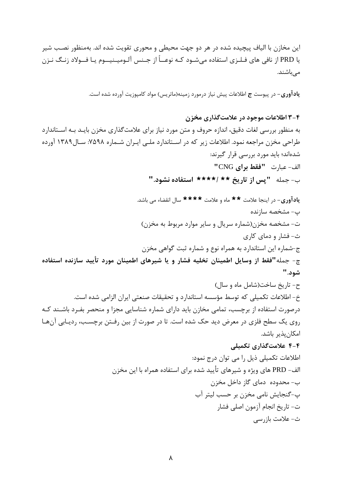این مخازن با الیاف پیچیده شده در هر دو جهت محیطی و محوری تقویت شده اند. بهمنظور نصب شیر یا PRD از نافی های فـلـزی استفاده مے شـود کـه نوعــاً از جـنس آلـومیـنیـــوم یـا فـــولاد زنــگ نـزن مے باشند.

**یادآوری**– در پیوست **ج** اطلاعات پیش نیاز درمورد زمینه(ماتریس) مواد کامپوزیت آورده شده است.

### ۴-۳ اطلاعات موجود در علامت گذاری مخزن

ت- تاريخ انجام آزمون اصلي فشار

ث- علامت بازرسي

به منظور بررسی لغات دقیق، اندازه حروف و متن مورد نیاز برای علامتگذاری مخزن بایـد بـه اسـتاندارد طراحی مخزن مراجعه نمود. اطلاعات زیر که در اسـتاندارد ملــی ایـران شــماره ۷۵۹۸: سـال ۱۳۸۹ آورده شدهاند؛ باید مورد بررسی قرار گیرند: الف- عبارت "فقط براي CNG" ب- جمله "يس از تاريخ \*\* /\*\*\*\* استفاده نشود."

ی**ادآوری**- در اینجا علامت \*\* ماه و علامت \*\*\*\* سال انقضاء می باشد. ب- مشخصه سازنده ت- مشخصه مخزن(شماره سريال و ساير موارد مربوط به مخزن) ث- فشار و دمای کاری ج-شماره این استاندارد به همراه نوع و شماره ثبت گواهی مخزن چ- جمله"فقط از وسایل اطمینان تخلیه فشار و یا شیرهای اطمینان مورد تأیید سازنده استفاده شود." ح- تاریخ ساخت(شامل ماه و سال) خ- اطلاعات تکمیلی که توسط مؤسسه استاندارد و تحقیقات صنعتی ایران الزامی شده است. درصورت استفاده از برچسب، تمامی مخازن باید دارای شماره شناسایی مجزا و منحصر بفـرد باشـند کـه روی یک سطح فلزی در معرض دید حک شده است. تا در صورت از بین رفـتن برچسـب، ردیـابی آنهـا امکان پذیر باشد. ۴-۴ علامتگذاری تکمیلی اطلاعات تکمیلی ذیل را می توان درج نمود: الف- PRD های ویژه و شیرهای تأیید شده برای استفاده همراه با این مخزن ب- محدوده دمای گاز داخل مخزن پ-گنجایش نامی مخزن بر حسب لیتر آب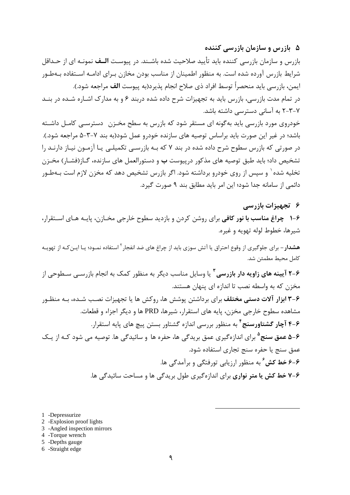۵- بازرس و سازمان بازرسی کننده

بازرس و سازمان بازرسی کننده باید تأیید صلاحیت شده باشــند. در پیوسـت **الــف** نمونــه ای از حــداقل شرایط بازرس آورده شده است. به منظور اطمینان از مناسب بودن مخازن بـرای ادامـه اسـتفاده بـهطـور ايمن، بازرسي بايد منحصراً توسط افراد ذي صلاح انجام پذيرد(به پيوست **الف** مراجعه شود.). در تمام مدت بازرسی، بازرس باید به تجهیزات شرح داده شده دربند ۶ و به مدارک اشـاره شـده در بنــد ۷–۳–۲ به آسانی دسترسی داشته باشد.

خودروی مورد بازرسی باید به گونه ای مستقر شود که بازرس به سطح مخـزن ِ دسترسـی کامـل داشـته باشد؛ در غیر این صورت باید براساس توصیه های سازنده خودرو عمل شود(به بند ۷–۳–۵ مراجعه شود.). در صورتی که بازرس سطوح شرح داده شده در بند ۷ که بـه بازرسـی تکمیلـی یـا آزمـون نیـاز دارنـد را تشخیص داد؛ باید طبق توصیه های مذکور درپیوست **ب** و دستورالعمل های سازنده، گــاز(فشــار) مخــزن تخلیه شده` و سپس از روی خودرو برداشته شود. اگر بازرس تشخیص دهد که مخزن لازم است بـهطـور دائمی از سامانه جدا شود؛ این امر باید مطابق بند ۹ صورت گیرد.

۶۔ تجہیزات بازرسے

۰-۶ چراغ مناسب با نور کافی برای روشن کردن و بازدید سطوح خارجی مخـازن، پایـه هـای اســتقرار، شيرها، خطوط لوله تهويه و غيره.

**هشدار** – برای جلوگیری از وقوع احتراق یا آتش سوزی باید از چراغ های ضد انفجار <sup>۲</sup> استفاده نمـود؛ یـا ایــن *کـ*ه از تهویــه كامل محيط مطمئن شد.

۶–۲ آیینه های زاویه دار بازرسی <sup>۳</sup> یا وسایل مناسب دیگر به منظور کمک به انجام بازرســی سـطوحی از مخزن که به واسطه نصب تا اندازه ای پنهان هستند.

۶–۳ ابزار آلات دستی مختلف برای برداشتن پوشش ها، روکش ها یا تجهیزات نصب شـده، بـه منظـور مشاهده سطوح خارجی مخزن، پایه های استقرار، شیرها، PRD ها و دیگر اجزاء و قطعات. ۴-۶ آچار گشتاورسنج <sup>۴</sup> به منظور بررسی اندازه گشتاور بستن پیچ های پایه استقرار. ۰۶–۵ عمق سنج<sup>۵</sup> برای اندازه *گ*یری عمق بریدگی ها، حفره ها و سائیدگی ها. توصیه می شود کــه از یــک عمق سنج یا حفره سنج تجاری استفاده شود. ۶-۶ خط کش ٔ به منظور ارزیابی تورفتگی و برآمدگی ها. ۶-۷ خط کش یا متر نواری برای اندازهگیری طول بریدگی ها و مساحت سائیدگی ها.

- 1 -Depressurize
- 2 Explosion proof lights
- 3 -Angled inspection mirrors
- 4 -Torque wrench
- 5 -Depths gauge
- 6 -Straight edge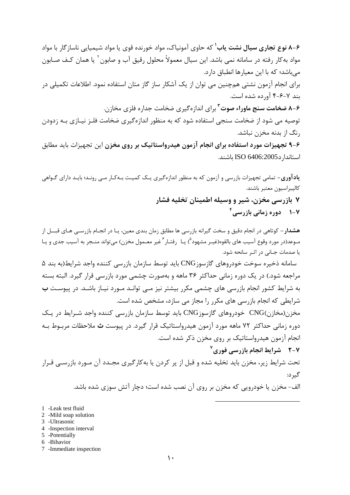**۶–۸ نوع تجاری سیال نشت یاب<sup>۱</sup>** که حاوی آمونیاک، مواد خورنده قوی یا مواد شیمیایی ناساز گار با مواد مواد به کار رفته در سامانه نمی باشد. این سیال معمولاً محلول رقیق آب و صابون ` یا همان کـف صـابون میباشد؛ که با این معیارها انطباق دارد. برای انجام آزمون نشتی همچنین می توان از یک آشکار ساز گاز متان استفاده نمود. اطلاعات تکمیلی در بند ۷-۶-۴ آورده شده است. **۶-۸ ضخامت سنج ماوراء صوت <sup>۳</sup> برای اندازهگیری ضخامت جداره فلزی مخازن.** توصیه می شود از ضخامت سنجی استفاده شود که به منظور اندازهگیری ضخامت فلـز نیـازی بـه زدودن رنگ از بدنه مخزن نباشد. ۶–۹ تجهیزات مورد استفاده برای انجام آزمون هیدرواستاتیک بر روی مخزن این تجهیزات باید مطابق استاندا, د ISO 6406:2005 باشند.

**یادآوری**– تمامی تجهیزات بازرسی و آزمون که به منظور اندازهگیری یـک کمیـت بـهکـار مـی رونـد؛ بایـد دارای گـواهی كاليبراسيون معتبر باشند. ۷ بازرسی مخزن، شیر و وسیله اطمینان تخلیه فشار ۷-۱ دوره زمانی بازرسی<sup>۲</sup>

**هشدار** – کوتاهی در انجام دقیق و سخت گیرانه بازرسی ها مطابق زمان بندی معین، یـا در انجـام بازرسـی هـای قبـــل از مـوعد(در مورد وقوع آسيب هاي بالقوه(غيـر مشهود ؓ) يـا۔رفتـار ؑ غير معـمول مخزن) ميتواند منـجر به آسيب جدي و يـا یا صدمات جـانی در اثـر سانحه شود.

سامانه ذخیره سوخت خودروهای گازسوز CNG باید توسط سازمان بازرسی کننده واجد شرایط(به بند ۵ مراجعه شود.) در یک دوره زمانی حداکثر ۳۶ ماهه و بهصورت چشمی مورد بازرسی قرار گیرد. البته بسته به شرایط کشور انجام بازرسی های چشمی مکرر بیشتر نیز مـی توانـد مـورد نیـاز باشـد. در پیوسـت **ب** شرایطی که انجام بازرسی های مکرر را مجاز می سازد، مشخص شده است.

مخزن(مخازن)CNG خودروهای گازسوزCNG باید توسط سازمان بازرسی کننده واجد شـرایط در یـک دوره زمانی حداکثر ۷۲ ماهه مورد آزمون هیدرواستاتیک قرار گیرد. در پیوست **ث** ملاحظات مربـوط بـه انجام آزمون هیدرواستاتیک بر روی مخزن ذکر شده است.

۲-۷ شرایط انجام بازرسی فوری<sup>۷</sup> تحت شرایط زیر، مخزن باید تخلیه شده و قبل از پر کردن یا بهکارگیری مجـدد آن مـورد بازرسـی قـرار گیر د:

الف- مخزن یا خودرویی که مخزن بر روی آن نصب شده است؛ دچار آتش سوزی شده باشد.

- 1 -Leak test fluid
- 2 -Mild soap solution
- 3 Ultrasonic
- 4 -Inspection interval
- 5 -Potentially
- 6 -Bihavior
- 7 -Immediate inspection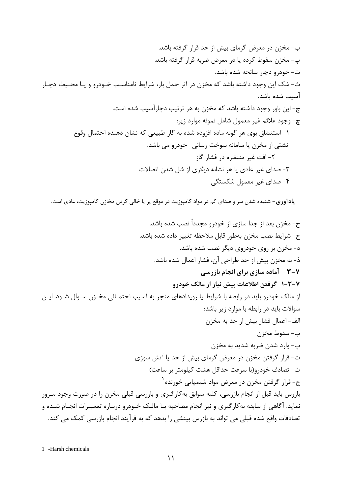**یادآوری**– شنیده شدن سر و صدای کم در مواد کامپوزیت در موقع پر یا خالی کردن مخازن کامپوزیت، عادی است.

1 -Harsh chemicals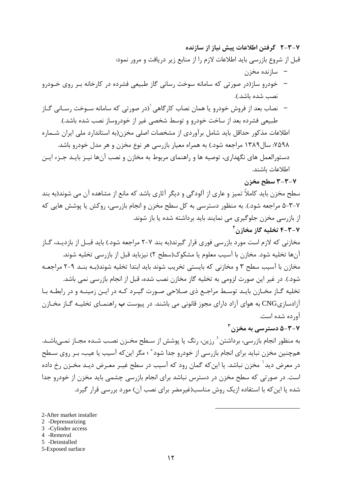۷-۳-۳ گرفتن اطلاعات پیش نیاز از سازنده

قبل از شروع بازرسی باید اطلاعات لازم را از منابع زیر دریافت و مرور نمود:

- سازنده مخزن
- خودرو ساز(در صورتی که سامانه سوخت رسانی گاز طبیعی فشرده در کارخانه بـر روی خـودرو نصب شده باشد.).
- نصاب بعد از فروش خودرو یا همان نصاب کارگاهی <sup>(</sup>(در صورتی که سامانه سـوخت رسـانی گـاز طبیعی فشرده بعد از ساخت خودرو و توسط شخصی غیر از خودروساز نصب شده باشد.).

اطلاعات مذكور حداقل بايد شامل برآوردي از مشخصات اصلى مخزن(به استاندارد ملى ايران شـماره ۷۵۹۸: سال۱۳۸۹ مراجعه شود.) به همراه معیار بازرسی هر نوع مخزن و هر مدل خودرو باشد. دستورالعمل های نگهداری، توصیه ها و راهنمای مربوط به مخازن و نصب آنها نیـز بایـد جـزء ایـن اطلاعات باشند.

## ۳-۳-۳ سطح مخزن

سطح مخزن باید کاملاً تمیز و عاری از آلودگی و دیگر آثاری باشد که مانع از مشاهده آن می شوند(به بند ۷-۳-۵ مراجعه شود.). به منظور دسترسی به کل سطح مخزن و انجام بازرسی، روکش یا پوشش هایی که از بازرسی مخزن جلوگیری می نمایند باید برداشته شده یا باز شوند. ۷-۳-۴ تخلیه گاز مخازن<sup>۲</sup>

مخازنی که لازم است مورد بازرسی فوری قرار گیرند(به بند ۷-۲ مراجعه شود.) باید قبـل از بازدیـد، گـاز آنها تخليه شود. مخازن با آسيب معلوم يا مشكوك(سطح ٢) نيزبايد قبل از بازرسي تخليه شوند. مخازن با آسیب سطح ۳ و مخازنی که بایستی تخریب شوند باید ابتدا تخلیه شوند(بـه بنـد ۹-۲ مراجعـه شود.). در غیر این صورت لزومی به تخلیه گاز مخازن نصب شده، قبل از انجام بازرسی نمی باشد. تخلیه گـاز مخـازن بایـد توسـط مراجـع ذی صـلاحی صـورت گیـرد کـه در ایـن زمینـه و در رابطـه بـا آزادسازیCNG به هوای آزاد دارای مجوز قانونی می باشند. در پیوست ب راهنمـای تخلیــه گــاز مخــازن آورده شده است.

## $\mathbf{v}^{\mathsf{r}}$ ے دستر سے ،به مخزن  $\mathbf{a}-\mathbf{v}$

به منظور انجام بازرسی، برداشتن ٔ رزین، رنگ یا پوشش از سـطح مخـزن نصـب شـده مجـاز نمـیباشـد. همچنین مخزن نباید برای انجام بازرسی از خودرو جدا شود ْ ؛ مگر این که آسیب یا عیب، بـر روی سـطح در معرض دید<sup>۱</sup> مخزن نباشد. یا این *ک*ه گمان رود که آسیب در سطح غیـر معـرض دیـد مخـزن رخ داده است. در صورتی که سطح مخزن در دسترس نباشد برای انجام بازرسی چشمی باید مخزن از خودرو جدا شده یا این که با استفاده ازیک روش مناسب(غیرمضر برای نصب آن) مورد بررسی قرار گیرد.

- 2 -Depressurizing
- 3 -Cylinder access
- 4 -Removal
- 5 -Deinstalled
- 5-Exposed surface

<sup>2-</sup>After market installer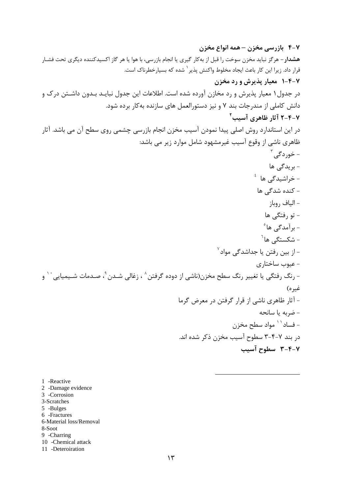- 1 -Reactive
- 2 -Damage evidence
- 3 -Corrosion
- 3-Scratches
- 5 -Bulges
- 6 -Fractures 6-Material loss/Removal
- 8-Soot
- 
- 9 -Charring<br>10 -Chemical attack
- 11 -Deteroiration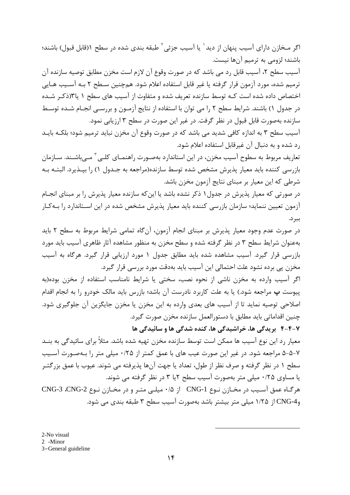اگر مـخازن دارای آسیب پنهان از دید ٰ یا آسیب جزئی ٔ طبقه بندی شده در سطح ۱(قابل قبول) باشند؛ باشند؛ لزومی به ترمیم آنها نیست.

آسيب سطح ٢، آسيب قابل رد مي باشد كه در صورت وقوع آن لازم است مخزن مطابق توصيه سازنده آن ترميم شده، مورد آزمون قرار گرفته يا غير قابل استفاده اعلام شود. همچنين سـطح ٢ بـه آسـيب هـايي اختصاص داده شده است کـه توسط سازنده تعریف شده و متفاوت از آسیب های سطح ۱ یا ۱۳زکـر شـده در جدول ۱) باشند. شرایط سطح ۲ را می توان با استفاده از نتایج آزمـون و بررسـی انجـام شـده توسـط سازنده بهصورت قابل قبول در نظر گرفت. در غیر این صورت در سطح ۳ ارزیابی نمود.

آسیب سطح ۳ به اندازه کافی شدید می باشد که در صورت وقوع آن مخزن نباید ترمیم شود؛ بلکـه بایـد رد شده و به دنبال آن غیرقابل استفاده اعلام شود.

تعاریف مربوط به سطوح آسیب مخزن، در این استاندارد بهصـورت راهنمـای کلـی آ مـیباشـند. سـازمان بازرسی کننده باید معیار پذیرش مشخص شده توسط سازنده(مراجعه به جـدول ۱) را بپـذیرد. البتـه بـه شرطي كه اين معيار بر مبناي نتايج آزمون مخزن باشد.

در صورتی که معیار پذیرش در جدول ۱ ذکر نشده باشد یا این که سازنده معیار پذیرش را بر مبنای انجـام آزمون تعیین ننماید؛ سازمان بازرسی کننده باید معیار پذیرش مشخص شده در این اسـتاندارد را بـهکـار ببر د.

در صورت عدم وجود معیار پذیرش بر مبنای انجام آزمون، آنگاه تمامی شرایط مربوط به سطح ۲ باید بهعنوان شرایط سطح ۳ در نظر گرفته شده و سطح مخزن به منظور مشاهده آثار ظاهری آسیب باید مورد بازرسی قرار گیرد. آسیب مشاهده شده باید مطابق جدول ۱ مورد ارزیابی قرار گیرد. هرگاه به آسیب مخزن پی برده نشود علت احتمالی این آسیب باید بهدقت مورد بررسی قرار گیرد.

اگر آسیب وارده به مخزن ناشی از نحوه نصب، سختی یا شرایط نامناسب استفاده از مخزن بوده(به پیوست پ مراجعه شود.) یا به علت کاربرد نادرست آن باشد؛ بازرس باید مالک خودرو را به انجام اقدام اصلاحی توصیه نماید تا از آسیب های بعدی وارده به این مخزن یا مخزن جایگزین آن جلوگیری شود. چنین اقداماتی باید مطابق با دستورالعمل سازنده مخزن صورت گیرد.

۴-۴-۲ بریدگی ها، خراشیدگی ها، کنده شدگی ها و سائیدگی ها

معیار رد این نوع آسیب ها ممکن است توسط سازنده مخزن تهیه شده باشد. مثلاً برای سائیدگی به بنــد ۷-۵-۵ مراجعه شود. در غیر این صورت عیب های با عمق کمتر از ۰/۲۵ میلی متر را بـهصـورت آسـیب سطح ۱ در نظر گرفته و صرف نظر از طول، تعداد یا جهت آنها پذیرفته می شوند. عیوب با عمق بزرگتـر یا مساوی ۰/۲۵ میلی متر بهصورت آسیب سطح ۲یا ۳ در نظر گرفته می شوند.

هرگـاه عمق آسـيب در مخـازن نـوع CNG-1 از ۰/۵ ميلـي متـر و در مخـازن نـوع CNG-3 ،CNG-2 وCNG-4 از ۱/۲۵ میلی متر بیشتر باشد بهصورت آسیب سطح ۳ طبقه بندی می شود.

2-No visual

2 -Minor 3-General guideline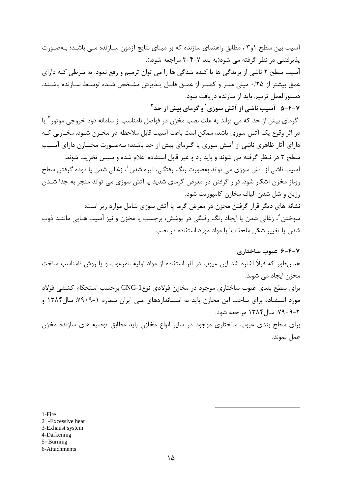آسیب بین سطح (۳٫ ، مطابق راهنمای سازنده که بر مبنای نتایج آزمون سـازنده مــی باشـد؛ بـهصـورت یذیرفتنی در نظر گرفته می شود(به بند ۷-۴-۳ مراجعه شود.).

آسیب سطح ۲ ناشی از بریدگی ها یا کنده شدگی ها را می توان ترمیم و رفع نمود. به شرطی کـه دارای عمق بیشتر از ۰/۲۵ میلی متـر و کمتـر از عمـق قابـل پـذیرش مشـخص شـده توسـط سـازنده باشـند. دستورالعمل ترمیم باید از سازنده دریافت شود.

۷-۴-۵ آسیب ناشی از آتش سوزی <sup>۱</sup> و گرمای بیش از حد <sup>۲</sup>

گرمای بیش از حد که می تواند به علت نصب مخزن در فواصل نامناسب از سامانه دود خروجی موتور آ یا در اثر وقوع یک آتش سوزی باشد، ممکن است باعث آسیب قابل ملاحظه در مخـزن شـود. مخـازنی کـه دارای آثار ظاهری ناشی از آتـش سوزی یا گـرمای بیش از حد باشند؛ بـهصـورت مخـــازن دارای آسـیب سطح ۳ در نـظر گرفته می شوند و باید رد و غیر قابل استفاده اعلام شده و سپس تخریب شوند. آسیب ناشی از آتش سوزی می تواند بهصورت رنگ رفتگی، تیره شدن ٔ، زغالی شدن یا دوده گرفتن سطح روباز مخزن آشکار شود. قرار گرفتن در معرض گرمای شدید یا آتش سوزی می تواند منجر به جدا شـدن رزين و شل شدن الياف مخازن كاميوزيت شود. نشانه های دیگر قرار گرفتن مخزن در معرض گرما یا آتش سوزی شامل موارد زیر است: سوختن ْ، زغالي شدن يا ايجاد رنگ رفتگي در پوشش، برچسب يا مخزن و نيز آسيب هـايي ماننــد ذوب

شدن یا تغییر شکل ملحقات<sup>٦</sup>یا مواد مورد استفاده در نصب.

۰۷۹۰۹-۲ سال ۱۳۸۴ مراجعه شود.

۶-۴-۲ عبوب ساختاری همان طور که قبلاً اشاره شد این عیوب در اثر استفاده از مواد اولیه نامرغوب و یا روش نامناسب ساخت مخزن ایجاد مے شوند. برای سطح بندی عیوب ساختاری موجود در مخازن فولادی نوعCNG-1 برحسب استحکام کششی فولاد مورد استفــاده برای ساخت این مخازن باید به اســتانداردهای ملی ایران شماره ۱-۷۹۰۹: سال۱۳۸۴ و

برای سطح بندی عیوب ساختاری موجود در سایر انواع مخازن باید مطابق توصیه های سازنده مخزن عمل نموند.

1-Fire

- 2 -Excessive heat
- 3-Exhaust system
- 4-Darkening
- $5 Burning$
- 6-Attachments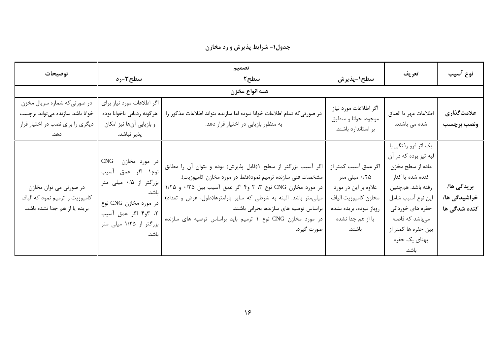جدول١- شرايط پذيرش و رد مخازن

| توضيحات                                                                                                      | سطح۳-رد                                                                                                                                                            | تصميم<br>سطح ۲                                                                                                                                                                                                                                                                                                                                                                       | سطح١-پذيرش                                                                                                                                      | تعريف                                                                                                                                                                                                                 | نوع آسيب                                   |
|--------------------------------------------------------------------------------------------------------------|--------------------------------------------------------------------------------------------------------------------------------------------------------------------|--------------------------------------------------------------------------------------------------------------------------------------------------------------------------------------------------------------------------------------------------------------------------------------------------------------------------------------------------------------------------------------|-------------------------------------------------------------------------------------------------------------------------------------------------|-----------------------------------------------------------------------------------------------------------------------------------------------------------------------------------------------------------------------|--------------------------------------------|
| همه انواع مخزن                                                                                               |                                                                                                                                                                    |                                                                                                                                                                                                                                                                                                                                                                                      |                                                                                                                                                 |                                                                                                                                                                                                                       |                                            |
| در صورتی که شماره سریال مخزن<br>خوانا باشد سازنده می تواند برچسب<br>دیگری را برای نصب در اختیار قرار<br>دهد. | اگر اطلاعات مورد نیاز برای<br>هرگونه رديابي ناخوانا بوده<br>و بازیابی آنها نیز امکان<br>پذير نباشد.                                                                | در صورتی که تمام اطلاعات خوانا نبوده اما سازنده بتواند اطلاعات مذکور را<br>به منظور بازیابی در اختیار قرار دهد.                                                                                                                                                                                                                                                                      | اگر اطلاعات مورد نياز<br>موجود، خوانا و منطبق<br>بر استاندارد باشند.                                                                            | اطلاعات مهر يا الصاق<br>شده می باشند.                                                                                                                                                                                 | علامتگذاری<br>ونصب برچسب                   |
| در صورتي مي توان مخازن<br>كامپوزيت را ترميم نمود كه الياف<br>بریده یا از هم جدا نشده باشد.                   | در مورد مخازن CNG<br>نوع ۱ اگر عمق آسیب<br>  بزرگتر از ۰/۵ میلی متر<br>ا باشد.<br>در مورد مخازن CNG نوع<br>۲، ۳و۴ اگر عمق آسیب<br>بزرگتر از ۱/۲۵ میلی متر<br>باشد. | اگر آسیب بزرگتر از سطح ۱(قابل پذیرش) بوده و بتوان آن را مطابق<br>مشخصات فنی سازنده ترمیم نمود(فقط در مورد مخازن کامپوزیت).<br>در مورد مخازن CNG نوع ۳، ۲ و۴ اگر عمق آسیب بین ۰/۲۵ و ۱/۲۵  <br>میلی متر باشد. البته به شرطی که سایر پارامترها(طول، عرض و تعداد)<br>براساس توصیه های سازنده، بحرانی باشند.<br>در مورد مخازن CNG نوع ۱ ترمیم باید براساس توصیه های سازنده<br>صورت گيرد. | اگر عمق آسیب کمتر از<br>۰/۲۵ میلی متر<br>علاوه بر این در مورد<br>مخازن كامپوزيت الياف<br>روباز نبوده، بريده نشده<br>یا از هم جدا نشده<br>باشند. | یک اثر فرو رفتگی با<br>لبه تيز بوده كه در آن<br>ماده از سطح مخزن<br>کنده شده یا کنار<br>رفته باشد. همچنین<br>اين نوع آسيب شامل<br>حفره های خوردگی<br>میباشد که فاصله<br>بین حفره ها کمتر از<br>پهناي يک حفره<br>باشد. | بريدگى ھا/<br>خراشیدگی ها/<br>کنده شدگی ها |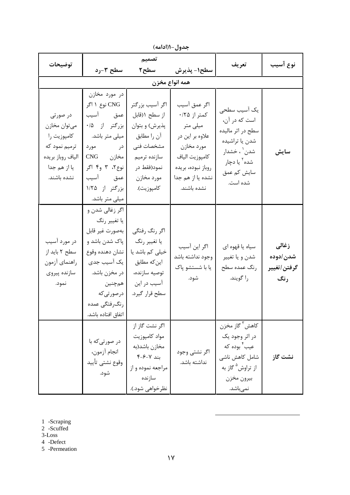| توضيحات                                                                                                      | سطح ۳-رد                                                                                                                                                                                                   | تصميم<br>سطح ۲                                                                                                                             | سطح١- پذيرش                                                                                                                                           | تعريف                                                                                                                                       | نوع آسيب                                 |
|--------------------------------------------------------------------------------------------------------------|------------------------------------------------------------------------------------------------------------------------------------------------------------------------------------------------------------|--------------------------------------------------------------------------------------------------------------------------------------------|-------------------------------------------------------------------------------------------------------------------------------------------------------|---------------------------------------------------------------------------------------------------------------------------------------------|------------------------------------------|
|                                                                                                              |                                                                                                                                                                                                            | همه انواع مخزن                                                                                                                             |                                                                                                                                                       |                                                                                                                                             |                                          |
| در صورتی<br>ميتوان مخازن<br>كامپوزيت را<br>ترمیم نمود که<br>الياف روباز بريده<br>يا از هم جدا<br>نشده باشند. | در مورد مخازن<br>CNG نوع ۱ اگر<br>عمق أسيب<br>بزرگتر از ۰/۵<br>میلی متر باشد.<br>در مورد<br>مخازن CNG<br>نوع؟، ٣ و۴ اگر<br>عمق أسيب<br>بزرگتر از ۱/۲۵                                                      | اگر آسیب بزرگتر<br>از سطح ١(قابل<br>پذيرش) و بتوان<br>آن را مطابق<br>مشخصات فنى<br>سازنده ترميم<br>نمود(فقط در<br>مورد مخازن<br>كامپوزيت). | اگر عمق آسيب<br>کمتر از ۲۵/۰<br>میلی متر<br>علاوه بر این در<br>مورد مخازن<br>كامپوزيت الياف<br>روباز نبوده، بريده<br>نشده یا از هم جدا<br>نشده باشند. | یک آسیب سطحی<br>است که در آن،<br>سطح در اثر مالیده<br>شدن یا تراشیده<br>شدن` ، خشدار<br>شده <sup>۲</sup> یا دچار<br>سایش کم عمق<br>شده است. | سايش                                     |
| در مورد آسیب<br>سطح ۲ باید از<br>راهنماي أزمون<br>سازنده پيروي<br>نمود.                                      | میلی متر باشد.<br>  اگر زغالي شدن و<br>يا تغيير رنگ<br>بەصورت غير قابل<br>پاک شدن باشد و<br>نشان دهنده وقوع<br>یک آسیب جدی<br>در مخزن باشد.<br>همچنین<br>درصورتی که<br>رنگرفتگى عمده<br>اتفاق افتاده باشد. | اگر رنگ رفتگي<br>يا تغيير رنگ<br>خیلی کم باشد یا<br>این <i>ک</i> ه مطابق<br>توصيه سازنده،<br>آسیب در این<br>سطح قرار گیرد.                 | اگر این آسیب<br>وجود نداشته باشد<br>يا با شستشو پاک<br>شود.                                                                                           | سياه يا قهوه اي<br>شدن و يا تغيير<br>رنگ عمده سطح<br>را گويند.                                                                              | زغالى<br>شدن /دوده<br>گرفتن/تغيير<br>رنگ |
|                                                                                                              | در صورتیکه با<br>انجام آزمون،<br>وقوع نشتى تأييد<br>شود.                                                                                                                                                   | اگر نشت گاز از<br>مواد كامپوزيت<br>مخازن باشد(به<br>بند ۷-۶-۴<br>مراجعه نموده و از<br>سازنده<br>نظرخواهي شود.).                            | اگر نشتی وجود<br>نداشته باشد.                                                                                                                         | كاهش <sup>۳</sup> گاز مخزن<br>در اثر وجود يک<br>عيب ٔ بوده که<br>شامل كاهش ناشى<br>از تراوش <sup>۵</sup> گاز به<br>بيرون مخزن<br>نمىباشد.   | نشت گاز                                  |

جدول-۱(ادامه)

1 -Scraping

 $2$  -Scuffed

 $3$ -Loss

4 -Defect

5 -Permeation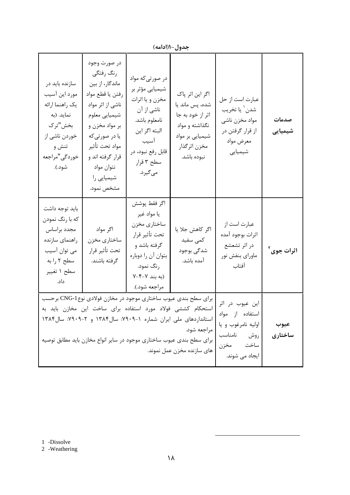|                                                                                                                                  |                                                                                                                                                                                                                                                                                |                                                                                                                                                             | بصون الاستان                                                                                                               |                                                                                                 |                        |
|----------------------------------------------------------------------------------------------------------------------------------|--------------------------------------------------------------------------------------------------------------------------------------------------------------------------------------------------------------------------------------------------------------------------------|-------------------------------------------------------------------------------------------------------------------------------------------------------------|----------------------------------------------------------------------------------------------------------------------------|-------------------------------------------------------------------------------------------------|------------------------|
| سازنده باید در<br>مورد اين أسيب<br>يک راهنما ارائه<br>نماید. (به<br>بخش"ترک<br>خوردن ناشي از<br>تنش و<br>خوردگی"مراجعه<br>شود.). | در صورت وجود<br>رنگ رفتگي<br>ماندگار، از بین<br>رفتن يا قطع مواد<br>ناشی از اثر مواد<br>شيميايي معلوم<br>بر مواد مخزن و<br>يا در صورتي كه<br>مواد تحت تأثير<br>قرار گرفته اند و<br>نتوان مواد<br>شیمیایی را<br>مشخص نمود.                                                      | در صورتیکه مواد<br>شیمیایی مؤثر بر<br>مخزن و يا اثرات<br>ناشی از آن<br>نامعلوم باشد.<br>البته اگر این<br>آسيب<br>قابل رفع نبود، در<br>سطح ۳ قرار<br>میگیرد. | اگر این اثر پاک<br>شده، پس ماند یا<br>اثر از خود به جا<br>نگذاشته و مواد<br>شیمیایی بر مواد<br>مخزن اثرگذار<br>نبوده باشد. | عبارت است از حل<br>شدن ٰ يا تخريب<br>مواد مخزن ناشي<br>از قرار گرفتن در<br>معرض مواد<br>شیمیایی | صدمات<br>شیمیایی       |
| بايد توجه داشت<br>که با رنگ نمودن<br>مجدد براساس<br>راهنمای سازنده<br>می توان آسیب<br>سطح ۲ را به<br>سطح ۱ تغییر<br>داد.         | اگر مواد<br>ساختاري مخزن<br>تحت تأثير قرار<br>گرفته باشند.                                                                                                                                                                                                                     | اگر فقط پوشش<br>يا مواد غير<br>ساختاري مخزن<br>تحت تأثير قرار<br>گرفته باشد و<br>بتوان آن را دوباره<br>رنگ نمود.<br>(به بند ۷-۴-۷<br>مراجعه شود.).          | اگر کاهش جلا یا<br>كمى سفيد<br>شدگی بوجود<br>آمده باشد.                                                                    | عبارت است از<br>اثرات بوجود آمده<br>در اثر تشعشع<br>ماوراي بنفش نور<br>آفتاب                    | اثرات جوی <sup>۲</sup> |
|                                                                                                                                  | برای سطح بندی عیوب ساختاری موجود در مخازن فولادی نوع CNG-1 برحسب<br>استحکام کششی فولاد مورد استفاده برای ساخت این مخازن باید به<br>استانداردهای ملی ایران شماره ١-٧٩٠٩: سال ١٣٨۴ و ٢-٧٩٠٩: سال ١٣٨۴<br>  برای سطح بندی عیوب ساختاری موجود در سایر انواع مخازن باید مطابق توصیه | این عیوب در اثر<br>استفاده از مواد<br>اوليه نامرغوب ويا<br>  مراجعه شود.<br>روش نامناسب<br>ساخت مخزن<br>ایجاد می شوند.                                      | عيوب<br>ساختاری                                                                                                            |                                                                                                 |                        |

حدول-((ادامه)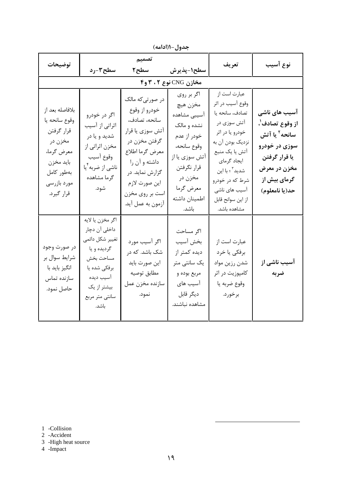| توضيحات                                                                                                                         | سطح۳-رد                                                                                                                                                 | تصميم<br>سطح ۲                                                                                                                                                                                         | سطح١-پذيرش                                                                                                                                                             | تعريف                                                                                                                                                                                                                                             | نوع آسيب                                                                                                                                          |
|---------------------------------------------------------------------------------------------------------------------------------|---------------------------------------------------------------------------------------------------------------------------------------------------------|--------------------------------------------------------------------------------------------------------------------------------------------------------------------------------------------------------|------------------------------------------------------------------------------------------------------------------------------------------------------------------------|---------------------------------------------------------------------------------------------------------------------------------------------------------------------------------------------------------------------------------------------------|---------------------------------------------------------------------------------------------------------------------------------------------------|
|                                                                                                                                 |                                                                                                                                                         |                                                                                                                                                                                                        | مخازن CNG نوع ۲ ، ۳ و۴                                                                                                                                                 |                                                                                                                                                                                                                                                   |                                                                                                                                                   |
| بلافاصله بعد از<br>وقوع سانحه يا<br>قرار گرفتن<br>مخزن در<br>معرض گرما،<br>بايد مخزن<br>بەطور كامل<br>مورد بازرسى<br>قرار گیرد. | اگر در خودرو<br>اثراتی از آسیب<br>شدید و یا در<br>مخزن اثراتي از<br>وقوع أسيب<br>ناشي از ضربه <sup>٢</sup> يا<br>گرما مشاهده<br>شود.                    | در صورتیکه مالک<br>خودرو از وقوع<br>سانحه، تصادف،<br>آتش سوزي يا قرار<br>گرفتن مخزن در<br>معرض گرما اطلاع<br>داشته و آن را<br>گزارش نماید. در<br>اين صورت لازم<br>است بر روي مخزن<br>آزمون به عمل آيد. | اگر بر روی<br>مخزن هيچ<br>آسیبی مشاهده<br>نشده و مالک<br>خودر از عدم<br>وقوع سانحه،<br>آتش سوزي يا از<br>قرار نگرفتن<br>مخزن در<br>معرض گرما<br>اطمينان داشته<br>باشد. | عبارت است از<br>وقوع أسيب در اثر<br>تصادف، سانحه یا<br>آتش سوزی در<br>خودرو يا در اثر<br>نزدیک بودن آن به<br>آتش یا یک منبع<br>ايجاد گرماي<br>شدید <sup>۲</sup> ؛ با این<br>شرط که در خودرو<br>آسیب های ناشی<br>از این سوانح قابل<br>مشاهده باشد. | آسیب های ناشی<br>از وقوع تصادف'،<br>سانحه <sup>۲</sup> یا آتش<br>سوزی در خودرو<br>يا قرار گرفتن<br>مخزن در معرض<br>گرمای بیش از<br>حد(يا نامعلوم) |
| در صورت وجود<br>شرايط سوال بر<br>انگیز باید با<br>سازنده تماس<br>حاصل نمود.                                                     | اگر مخزن يا لايه<br>داخلی آن دچار<br>تغيير شكل دائمي<br>گرديده و يا<br>مساحت بخش<br>برفكي شده يا<br>آسيب ديده<br>بیشتر از یک<br>سانتي متر مربع<br>باشد. | اگر آسیب مورد<br>شک باشد. که در<br>اين صورت بايد<br>مطابق توصيه<br>سازنده مخزن عمل<br>نمود.                                                                                                            | اگر مساحت<br>بخش آسيب<br>دیده کمتر از<br>یک سانتی متر<br>مربع بوده و<br>آسیب های<br>ديگر قابل<br>مشاهده نباشند.                                                        | عبارت است از<br>برفكي يا خرد<br>شدن رزين مواد<br>كامپوزيت در اثر<br>وقوع ضربه يا<br>برخورد.                                                                                                                                                       | آسیب ناشی از<br>ضربه                                                                                                                              |

جدول-١(ادامه)

1 -Collision<br>2 -Accident<br>3 -High heat source<br>4 -Impact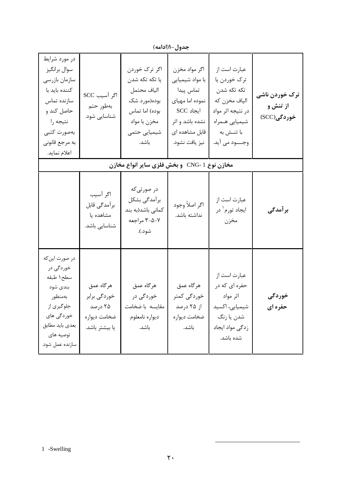| در مورد شرايط<br>سوال برانگيز<br>سازمان بازرسي<br>كننده بايد با<br>سازنده تماس<br>حاصل کند و<br>نتيجه را<br>بەصورت كتبى<br>به مرجع قانوني<br>اعلام نمايد. | اگر آسیب SCC<br>بەطور حتم<br>شناسایی شود.                               | اگر ترک خوردن<br>يا تكه تكه شدن<br>الياف محتمل<br>بوده(مورد شک<br>بوده) اما تماس<br>مخزن با مواد<br>شیمیایی حتمی<br>باشد. | اگر مواد مخزن<br>با مواد شيميايي<br>تماس پيدا<br>نموده اما مهياي<br>$SCC$ ایجاد<br>نشده باشد و اثر<br>قابل مشاهده ای<br>نيز يافت نشود. | عبارت است از<br>ترک خوردن یا<br>تكە تكە شدن<br>الياف مخزن كه<br>در نتيجه اثر مواد<br>شيميايي همراه<br>با تنــش به<br>وجـــــود مى آيد. | ترک خوردن ناشی<br>از تنش و<br>خوردگی(SCC) |
|-----------------------------------------------------------------------------------------------------------------------------------------------------------|-------------------------------------------------------------------------|---------------------------------------------------------------------------------------------------------------------------|----------------------------------------------------------------------------------------------------------------------------------------|----------------------------------------------------------------------------------------------------------------------------------------|-------------------------------------------|
|                                                                                                                                                           |                                                                         | مخازن نوع CNG- 1 و بخش فلزی سایر انواع مخازن                                                                              |                                                                                                                                        |                                                                                                                                        |                                           |
|                                                                                                                                                           | اگر آسیب<br>برآمدگی قابل<br>مشاهده یا<br>شناسایی باشد.                  | در صورتی که<br>برآمدگی بشکل<br>كمانى باشد(به بند<br>۰۷-۲-۳ مراجعه<br>شود.).                                               | اگر اصلاً وجود<br>نداشته باشد.                                                                                                         | عبارت است از<br>ايجاد تورم <sup>۱</sup> در<br>مخزن                                                                                     | برآمدگی                                   |
| در صورت اين كه<br>خوردگی در<br>سطح ١ طبقه<br>بندى شود<br>بەمنظور<br>جلوگیری از<br>خوردگی های<br>بعدى بايد مطابق<br>توصيه هاي<br>سازنده عمل شود.           | هر گاه عمق<br>خوردگی برابر<br>۲۵ درصد<br>ضخامت ديواره<br>يا بيشتر باشد. | هرگاه عمق<br>خوردگی در<br>مقايسه با ضخامت<br>ديواره نامعلوم<br>باشد.                                                      | هرگاه عمق<br>خوردگی کمتر<br>از ۲۵ درصد<br>ضخامت ديواره<br>باشد.                                                                        | عبارت است از<br>حفره ای که در<br>اثر مواد<br>شیمیایی، اکسید<br>شدن یا زنگ<br>زدگی مواد ایجاد<br>شده باشد.                              | خوردگی<br>حفره ای                         |

جدول-١(ادامه)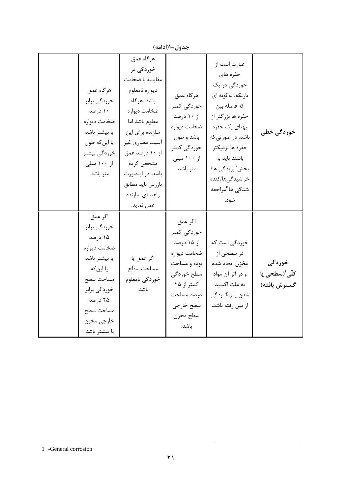|                                                                                                                                                             |                                                                                                                                                                                                                                                            | جدول-۱(ادامه)                                                                                                                                                       |                                                                                                                                                                                                                                             |                                                             |
|-------------------------------------------------------------------------------------------------------------------------------------------------------------|------------------------------------------------------------------------------------------------------------------------------------------------------------------------------------------------------------------------------------------------------------|---------------------------------------------------------------------------------------------------------------------------------------------------------------------|---------------------------------------------------------------------------------------------------------------------------------------------------------------------------------------------------------------------------------------------|-------------------------------------------------------------|
| هرگاه عمق<br>خوردگی برابر<br>۱۰ درصد<br>ضخامت ديواره<br>يا بيشتر باشد<br>يا اين كه طول<br>خوردگی بیشتر<br>از ۱۰۰ میلی<br>متر باشد.                          | هرگاه عمق<br>خوردگی در<br>مقايسه با ضخامت<br>ديواره نامعلوم<br>باشد. هر گاه<br>ضخامت ديواره<br>معلوم باشد اما<br>سازنده برای این<br>أسيب معياري غير<br>از ۱۰ درصد عمق<br>مشخص کرده<br>باشد. در اینصورت<br>بازرس بايد مطابق<br>راهنمای سازنده<br>عمل نمايد. | هرگاه عمق<br>خوردگی کمتر<br>از ۱۰ درصد<br>ضخامت ديواره<br>باشد و طول<br>خوردگی کمتر<br>از ۱۰۰ میلی<br>متر باشد.                                                     | عبارت است از<br>حفره های<br>خوردگی در یک<br>باریکه، بهگونه ای<br>كه فاصله بين<br>حفره ها بزرگتر از<br>پهناي يک حفره<br>باشد. در صورتی که<br>حفره ها نزديكتر<br>باشند باید به<br>بخش"بريدگي ها/<br>خراشيدگىها/كنده<br>شدگی ها"مراجعه<br>شود. | خوردگی خطی                                                  |
| اگر عمق<br>خوردگی برابر<br>۱۵ درصد<br>ضخامت ديواره<br>يا بيشتر باشد<br>یا این <i>ک</i> ه<br>مساحت سطح<br>خوردگی برابر<br>۲۵ درصد<br>مساحت سطح<br>خارجي مخزن | اگر عمق يا<br>مساحت سطح<br>خوردگي نامعلوم<br>باشد.                                                                                                                                                                                                         | اگر عمق<br>خوردگی کمتر<br>از ۱۵ درصد<br>ضخامت ديواره<br>بوده و مساحت<br>سطح خوردگی<br>کمتر از ۲۵<br>درصد مساحت<br>سطح خارجى<br>سطح مخزن<br><b>Contract Contract</b> | خوردگی است که<br>در سطحی از<br>مخزن ايجاد شده<br>و در اثر آن مواد<br>به علت اکسید<br>شدن يا زنگزدگى<br>از بين رفته باشد.                                                                                                                    | خوردگی<br>ِ <i>کلّی <sup>(</sup>سطحی</i> یا<br>گسترش يافته) |

 $(1.1.0)$   $+$ 

يا بيشتر باشد.

باشد.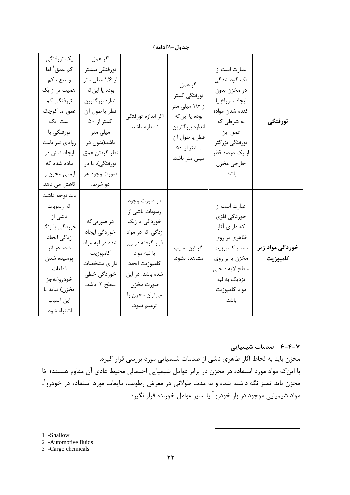| جدول–۱(ادامه)                                                                                                                                                                                                  |                                                                                                                                                                                                            |                                                                                                                                                                                            |                                                                                                                                   |                                                                                                                                                                     |                             |
|----------------------------------------------------------------------------------------------------------------------------------------------------------------------------------------------------------------|------------------------------------------------------------------------------------------------------------------------------------------------------------------------------------------------------------|--------------------------------------------------------------------------------------------------------------------------------------------------------------------------------------------|-----------------------------------------------------------------------------------------------------------------------------------|---------------------------------------------------------------------------------------------------------------------------------------------------------------------|-----------------------------|
| یک تورفتگی<br>کم عمق <sup>\</sup> اما<br>وسيع ، كم<br>اهمیت تر از یک<br>تورفتگی کم<br>عمق اما کوچک<br>است. یک<br>تورفتگى با<br>زواياي تيز باعث<br>ايجاد تنش در<br>ماده شده که<br>ايمنى مخزن را<br>کاهش می دهد. | اگر عمق<br>تورفتگى بيشتر<br>از ۱/۶ میلی متر<br>بوده يا اين كه<br>اندازه بزرگترين<br>قطر يا طول آن<br>کمتر از ۵۰<br>میلی متر<br>باشد(بدون در<br>نظر گرفتن عمق<br>تورفتگی). یا در<br>صورت وجود هر<br>دو شرط. | اگر اندازه تورفتگی<br>نامعلوم باشد.                                                                                                                                                        | اگر عمق<br>تورفتگى كمتر<br>از ۱/۶ میلی متر<br>بوده يا اين كه<br>اندازه بزرگترين<br>قطر يا طول آن<br>بيشتر از ۵۰<br>میلی متر باشد. | عبارت است از<br>یک گود شدگی<br>در مخزن بدون<br>ايجاد سوراخ يا<br>كنده شدن مواد؛<br>به شرطی که<br>عمق این<br>تورفتگي بزرگتر<br>از یک درصد قطر<br>خارجي مخزن<br>باشد. | تورفتگى                     |
| بايد توجه داشت<br>كه رسوبات<br>ناشی از<br>خوردگی یا زنگ<br>زدگی ایجاد<br>شده در اثر<br>پوسيده شدن<br>قطعات<br>خودرو(بهجز<br>مخزن) نبايد با<br>این آسیب<br>اشتباه شود.                                          | در صورتی که<br>خوردگی ایجاد<br>شده در لبه مواد<br>كامپوزيت<br>داراي مشخصات<br>خوردگی خطی<br>سطح ۳ باشد.                                                                                                    | در صورت وجود<br>رسوبات ناشی از<br>خوردگی یا زنگ<br>زدگی که در مواد<br>قرار گرفته در زير<br>يا لبه مواد<br>كامپوزيت ايجاد<br>شده باشد. در این<br>صورت مخزن<br>ميتوان مخزن را<br>ترميم نمود. | اگر این آسیب<br>مشاهده نشود.                                                                                                      | عبارت است از<br>خوردگی فلزی<br>که دارای آثار<br>ظاهري بر روي<br>سطح كامپوزيت<br>مخزن يا بر روي<br>سطح لايه داخلى<br>نزديک به لبه<br>مواد كامپوزيت<br>باشد.          | خوردگی مواد زیر<br>كامپوزيت |

۶-۴-۲ صدمات شیمیایی مخزن باید به لحاظ آثار ظاهری ناشی از صدمات شیمیایی مورد بررسی قرار گیرد. با این که مواد مورد استفاده در مخزن در برابر عوامل شیمیایی احتمالی محیط عادی آن مقاوم هستند؛ امّا مخزن باید تمیز نگه داشته شده و به مدت طولانی در معرض رطوبت، مایعات مورد استفاده در خودرو آ مواد شیمیایی موجود در بار خودرو ۳ یا سایر عوامل خورنده قرار نگیرد.

1 -Shallow

2 -Automotive fluids

3 -Cargo chemicals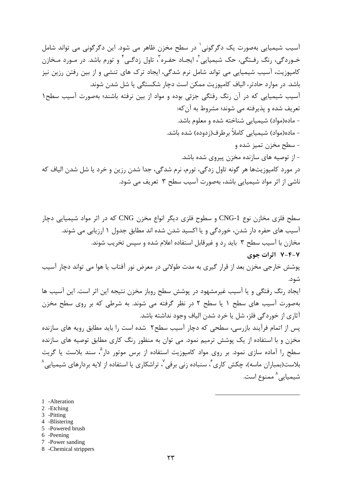آسیب شیمیایی بهصورت یک دگرگونی<sup>۱</sup> در سطح مخزن ظاهر می شود. این دگرگونی می تواند شامل خـوردگي، رنگ رفـتگي، حک شيميايي'، ايجـاد حفـره'، تاول زدگـي' و تورم باشد. در مـورد مـخازن کامپوزیت، آسیب شیمیایی می تواند شامل نرم شدگی، ایجاد ترک های تنشی و از بین رفتن رزین نیز باشد. در موارد حادتر، الياف كامپوزيت ممكن است دچار شكستگي يا شل شدن شوند. آسیب شیمیایی که در آن رنگ رفتگی جزئی بوده و مواد از بین نرفته باشند؛ بهصورت آسیب سطح۱ تعريف شده و يذيرفته مي شوند؛ مشروط به آن كه: - ماده(مواد) شیمیایی شناخته شده و معلوم باشد. - ماده(مواد) شیمیایی کاملاً برطرف(زدوده) شده باشد. - سطح مخزن تميز شده و – از توصیه های سازنده مخزن پیروی شده باشد. در مورد کامپوزیتها هر گونه تاول زدگی، تورم، نرم شدگی، جدا شدن رزین و خرد یا شل شدن الیاف که ناشی از اثر مواد شیمیایی باشد، بهصورت آسیب سطح ۳ تعریف می شود.

سطح فلزی مخازن نوع CNG-1 و سطوح فلزی دیگر انواع مخزن CNG که در اثر مواد شیمیایی دچار آسیب های حفره دار شدن، خوردگی و یا اکسید شدن شده اند مطابق جدول ۱ ارزیابی می شوند. مخازن با آسیب سطح ۳ باید رد و غیرقابل استفاده اعلام شده و سپس تخریب شوند. ۷-۴-۷ اثرات جوی پوشش خارجی مخزن بعد از قرار گیری به مدت طولانی در معرض نور آفتاب یا هوا می تواند دچار آسیب شود. ایجاد رنگ رفتگی و یا آسیب غیرمشهود در پوشش سطح روباز مخزن نتیجه این اثر است. این آسیب ها بهصورت آسیب های سطح ۱ یا سطح ۲ در نظر گرفته می شوند. به شرطی که بر روی سطح مخزن آثاري از خوردگي فلز، شل يا خرد شدن الياف وجود نداشته باشد. یس از اتمام فرآیند بازرسی، سطحی که دچار آسیب سطح۲ شده است را باید مطابق رویه های سازنده مخزن و با استفاده از یک پوشش ترمیم نمود. می توان به منظور رنگ کاری مطابق توصیه های سازنده سطح را آماده سازی نمود. بر روی مواد کامپوزیت استفاده از برس موتور دار<sup>ه</sup>، سند بلاست یا گریت بلاست(بمباران ماسه)، چکش کاری ً، سنباده زنی برقی ٌ، تراشکاری یا استفاده از لایه بردارهای شیمیایی ُ شيميايي^ ممنوع است.

- 1 -Alteration
- 2 -Etching
- 3 -Pitting
- 4 -Blistering
- 5 -Powered brush
- 6 -Peening
- 7 -Power sanding
- 8 -Chemical strippers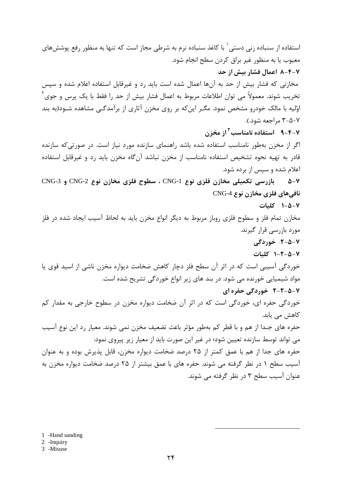استفاده از سنباده زنی دستی ٔ با کاغذ سنباده نرم به شرطی مجاز است که تنها به منظور رفع پوشش های معيوب يا به منظور غير براق كردن سطح انجام شود. ۸-۴-۷ اعمال فشار بیش از حد مخازنی که فشار بیش از حد به آنها اعمال شده است باید رد و غیرقابل استفاده اعلام شده و سپس تخریب شوند. معمولاً می توان اطلاعات مربوط به اعمال فشار بیش از حد را فقط با یک پرس و جوی ٔ اوّلیه با مالک خودرو مشخص نمود. مگـر اینکه بر روی مخزن آثاری از برآمدگـی مشاهده شـود(به بند ۷-۵-۳ مراجعه شود.). ۹-۴-۷ استفاده نامناسب<sup>۳</sup> از مخزن اگر از مخزن بهطور نامناسب استفاده شده باشد راهنمای سازنده مورد نیاز است. در صورتی که سازنده قادر به تهیه نحوه تشخیص استفاده نامناسب از مخزن نباشد آنگاه مخزن باید رد و غیرقابل استفاده اعلام شده و سپس از برده شود. ۷-۵ بازرسی تکمیلی مخازن فلزی نوع CNG-1 ، سطوح فلزی مخازن نوع CNG-2 و CNG-3 نافي هاي فلزي مخازن نوع CNG-4 ۰-۵-۸ کلیات مخازن تمام فلز و سطوح فلزی روباز مربوط به دیگر انواع مخزن باید به لحاظ آسیب ایجاد شده در فلز مورد بازرسی قرار گیرند. ۷-۵-۲ خوردگی ۰-۵-۲-۱ کلیات خوردگی آسیبی است که در اثر آن سطح فلز دچار کاهش ضخامت دیواره مخزن ناشی از اسید قوی یا مواد شیمیایی خورنده می شود. در بند های زیر انواع خوردگی تشریح شده است. ۷-۵-۲-۲ خوردگی حفره ای خوردگی حفره ای، خوردگی است که در اثر آن ضخامت دیواره مخزن در سطوح خارجی به مقدار کم کاهش مے یابد. حفره های جـدا از هم و با قطر کم بهطور مؤثر باعث تضعیف مخزن نمی شوند. معیار رد این نوع آسیب می تواند توسط سازنده تعیین شود؛ در غیر این صورت باید از معیار زیر پیروی نمود: حفره های جدا از هم با عمق کمتر از ۲۵ درصد ضخامت دیواره مخزن، قابل پذیرش بوده و به عنوان آسیب سطح ۱ در نظر گرفته می شوند. حفره های با عمق بیشتر از ۲۵ درصد ضخامت دیواره مخزن به عنوان آسیب سطح ۳ در نظر گرفته می شوند.

1 -Hand sanding

2 -Inquiry

3 -Misuse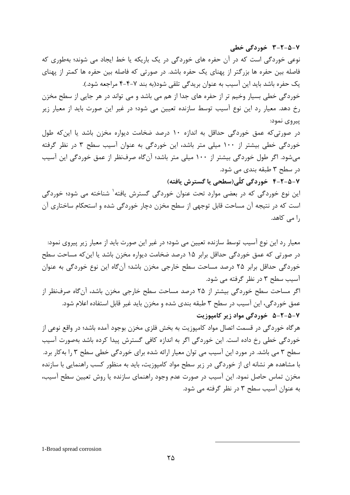نوعی خوردگی است که در آن حفره های خوردگی در یک باریکه یا خط ایجاد می شوند؛ بهطوری که فاصله بین حفره ها بزرگتر از پهنای یک حفره باشد. در صورتی که فاصله بین حفره ها کمتر از پهنای یک حفره باشد باید این آسیب به عنوان بریدگی تلقی شود(به بند ۷–۴-۴ مراجعه شود.). خوردگی خطی بسیار وخیم تر از حفره های جدا از هم می باشد و می تواند در هر جایی از سطح مخزن رخ دهد. معیار رد این نوع آسیب توسط سازنده تعیین می شود؛ در غیر این صورت باید از معیار زیر پیروی نمود:

در صورتی که عمق خوردگی حداقل به اندازه ۱۰ درصد ضخامت دیواره مخزن باشد یا این که طول خوردگی خطی بیشتر از ۱۰۰ میلی متر باشد، این خوردگی به عنوان آسیب سطح ۳ در نظر گرفته می شود. اگر طول خوردگی بیشتر از ۱۰۰ میلی متر باشد؛ آن گاه صرفنظر از عمق خوردگی این آسیب در سطح ۳ طبقه بندی می شود.

۷-۵-۲-۴ خوردگی کلّی(سطحی یا گسترش یافته)

۷-۵-۲-۳ خوردگی خطی

این نوع خوردگی که در بعضی موارد تحت عنوان خوردگی گسترش یافته<sup>۱</sup> شناخته می شود؛ خوردگی است که در نتیجه آن مساحت قابل توجهی از سطح مخزن دچار خوردگی شده و استحکام ساختاری آن را می کاهد.

معیار رد این نوع آسیب توسط سازنده تعیین می شود؛ در غیر این صورت باید از معیار زیر پیروی نمود: در صورتی که عمق خوردگی حداقل برابر ۱۵ درصد ضخامت دیواره مخزن باشد یا این که مساحت سطح خوردگی حداقل برابر ۲۵ درصد مساحت سطح خارجی مخزن باشد؛ آنگاه این نوع خوردگی به عنوان آسیب سطح ۳ در نظر گرفته می شود. اگر مساحت سطح خوردگی بیشتر از ۲۵ درصد مساحت سطح خارجی مخزن باشد، آنگاه صرفنظر از عمق خوردگی، این آسیب در سطح ۳ طبقه بندی شده و مخزن باید غیر قابل استفاده اعلام شود. ۷-۵-۲-۵ خوردگی مواد زیر کامیوزیت هر گاه خوردگی در قسمت اتصال مواد کامپوزیت به بخش فلزی مخزن بوجود آمده باشد؛ در واقع نوعی از خوردگی خطی رخ داده است. این خوردگی اگر به اندازه کافی گسترش پیدا کرده باشد بهصورت آسیب سطح ۳ می باشد. در مورد این آسیب می توان معیار ارائه شده برای خوردگی خطی سطح ۳ را به کار برد. با مشاهده هر نشانه ای از خوردگی در زیر سطح مواد کامپوزیت، باید به منظور کسب راهنمایی با سازنده مخزن تماس حاصل نمود. این آسیب در صورت عدم وجود راهنمای سازنده یا روش تعیین سطح آسیب، به عنوان آسیب سطح ۳ در نظر گرفته می شود.

1-Broad spread corrosion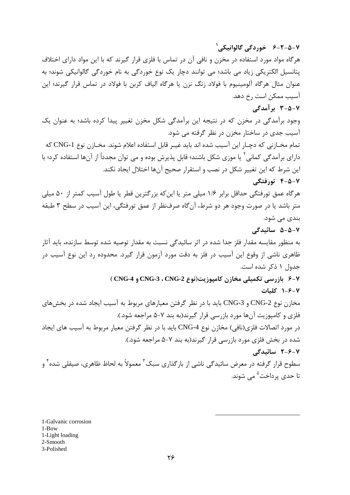هرگاه مواد مورد استفاده در مخزن و نافی آن در تماس با فلزی قرار گیرند که با این مواد دارای اختلاف یتانسپل الکتریکی زیاد می باشد؛ می توانند دچار یک نوع خوردگی به نام خوردگی گالوانیکی شوند؛ به عنوان مثال هرگاه آلومینیوم با فولاد زنگ نزن یا هرگاه الیاف کربن با فولاد در تماس قرار گیرند؛ این آسیب ممکن است رخ دهد. ۷-۵-۳ برآمدگی وجود برآمدگی در مخزن که در نتیجه این برآمدگی شکل مخزن تغییر پیدا کرده باشد؛ به عنوان یک آسیب جدی در ساختار مخزن در نظر گرفته می شود. تمام مخــازني كه دچــار اين آسيب شده اند بايد غيــر قابل استفاده اعلام شوند. مخــازن نوع CNG-1 كه دارای برآمدگی کمانی<sup>۲</sup> یا موزی شکل باشند؛ قابل پذیرش بوده و می توان مجدداً از آنها استفاده کرد؛ با این شرط که این تغییر شکل در نصب و استقرار صحیح آنها اختلال ایجاد نکند. ۶-۵-۷ تورفتگی هرگاه عمق تورفتگی حداقل برابر ۱/۶ میلی متر یا این که بزرگترین قطر یا طول آسیب کمتر از ۵۰ میلی متر باشد یا در صورت وجود هر دو شرط، آنگاه صرفنظر از عمق تورفتگی، این آسیب در سطح ۳ طبقه بندی می شود. ۷−۵−۵ سائىدگى به منظور مقايسه مقدار فلز جدا شده در اثر سائيدگي نسبت به مقدار توصيه شده توسط سازنده، بايد آثار ظاهری ناشی از وقوع این آسیب در فلز به دقت مورد آزمون قرار گیرد. محدوده رد این نوع آسیب در جدول ١ ذكر شده است. ۷-۶ بازرسی تکمیلی مخازن کامپوزیت(نوع CNG-3 ، CNG-2 و CNG-4 ) ۰-۶-۲ کلیات مخازن نوع CNG-2 و CNG-3 بايد با در نظر گرفتن معيارهاي مربوط به آسيب ايجاد شده در بخشهاي فلزی و کامپوزیت آنها مورد بازرسی قرار گیرند(به بند ۷-۵ مراجعه شود.). در مورد اتصالات فلزي(نافي) مخازن نوع CNG-4 بايد با در نظر گرفتن معيار مربوط به آسيب هاي ايجاد شده در بخش فلزی مورد بازرسی قرار گیرند(به بند ۷-۵ مراجعه شود.). ۲-۶-۲ سائیدگی سطوح قرار گرفته در معرض سائیدگی ناشی از بارگذاری سبک<sup>۳</sup> معمولاً به لحاظ ظاهری، صیقلی شده ٔ و تا حدی پرداخت<sup>۵</sup> می شوند.

۷-۵-۲-۶ خوردگی گالوانیکی<sup>'</sup>

1-Galvanic corrosion 1-Bow 1-Light loading 2-Smooth 3-Polished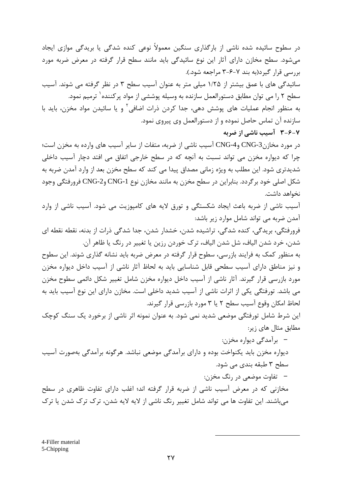در سطوح سائیده شده ناشی از بارگذاری سنگین معمولاً نوعی کنده شدگی یا بریدگی موازی ایجاد میشود. سطح مخازن دارای آثار این نوع سائیدگی باید مانند سطح قرار گرفته در معرض ضربه مورد بررسی قرار گیرد(به بند ۷-۶-۳ مراجعه شود.). سائیدگی های با عمق بیشتر از ۱/۲۵ میلی متر به عنوان آسیب سطح ۳ در نظر گرفته می شوند. آسیب سطح ۲ را می توان مطابق دستورالعمل سازنده به وسیله پوششی از مواد پرکننده <sup>۱</sup> ترمیم نمود. به منظور انجام عملیات های پوشش دهی، جدا کردن ذرات اضافی آ و یا سائیدن مواد مخزن، باید با سازنده آن تماس حاصل نموده و از دستورالعمل وی پیروی نمود. **۳-۶-۲** آسیب ناشی از ضربه در مورد مخازن3-CNG وCNG-4 آسيب ناشي از ضربه، متفات از ساير آسيب هاي وارده به مخزن است؛ چرا که دیواره مخزن می تواند نسبت به آنچه که در سطح خارجی اتفاق می افتد دچار آسیب داخلی شدیدتری شود. این مطلب به ویژه زمانی مصداق پیدا می کند که سطح مخزن بعد از وارد آمدن ضربه به شکل اصلی خود بر گردد. بنابراین در سطح مخزن به مانند مخازن نوع CNG-1 وCNG-2 فرورفتگی وجود نخواهد داشت. آسیب ناشی از ضربه باعث ایجاد شکستگی و تورق لایه های کامپوزیت می شود. آسیب ناشی از وارد آمدن ضربه می تواند شامل موارد زیر باشد: فرورفتگی، بریدگی، کنده شدگی، تراشیده شدن، خشدار شدن، جدا شدگی ذرات از بدنه، نقطه نقطه ای شدن، خرد شدن الياف، شل شدن الياف، ترک خوردن رزين يا تغيير در رنگ يا ظاهر آن. به منظور کمک به فرایند بازرسی، سطوح قرار گرفته در معرض ضربه باید نشانه گذاری شوند. این سطوح و نیز مناطق دارای آسیب سطحی قابل شناسایی باید به لحاظ آثار ناشی از آسیب داخل دیواره مخزن مورد بازرسی قرار گیرند. آثار ناشی از آسیب داخل دیواره مخزن شامل تغییر شکل دائمی سطوح مخزن می باشد. تورفتگی یکی از اثرات ناشی از آسیب شدید داخلی است. مخازن دارای این نوع آسیب باید به لحاظ امکان وقوع آسیب سطح ۲ یا ۳ مورد بازرسی قرار گیرند. این شرط شامل تورفتگی موضعی شدید نمی شود. به عنوان نمونه اثر ناشی از برخورد یک سنگ کوچک مطابق مثال های زیر: –۔ برآمدگی دیوارہ مخزن: دیواره مخزن باید یکنواخت بوده و دارای برآمدگی موضعی نباشد. هرگونه برآمدگی بهصورت آسیب سطح ۳ طبقه بندی می شود. – تفاوت موضعی در رنگ مخزن: مخازنی که در معرض آسیب ناشی از ضربه قرار گرفته اند؛ اغلب دارای تفاوت ظاهری در سطح میباشند. این تفاوت ها می تواند شامل تغییر رنگ ناشی از لایه لایه شدن، ترک ترک شدن یا ترک

4-Filler material 5-Chipping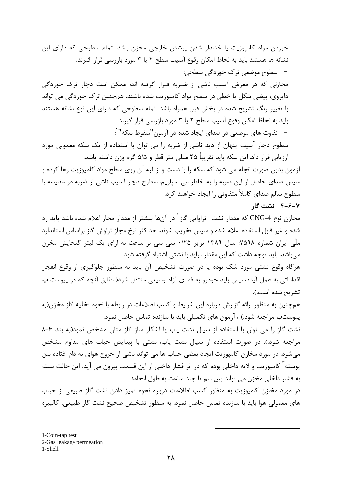خوردن مواد کامپوزیت یا خشدار شدن پوشش خارجی مخزن باشد. تمام سطوحی که دارای این نشانه ها هستند باید به لحاظ امکان وقوع آسیب سطح ۲ یا ۳ مورد بازرسی قرار گیرند. –۔سطوح موضعی ترک خوردگی سطحی: مخازنی که در معرض آسیب ناشی از ضربه قـرار گرفته اند؛ ممکن است دچار ترک خوردگی دایروی، بیضی شکل یا خطی در سطح مواد کامپوزیت شده باشند. همچنین ترک خوردگی می تواند با تغییر رنگ تشریح شده در بخش قبل همراه باشد. تمام سطوحی که دارای این نوع نشانه هستند باید به لحاظ امکان وقوع آسیب سطح ۲ یا ۳ مورد بازرسی قرار گیرند. – تفاوت های موضعی در صدای ایجاد شده در آزمون "سقوط سکه"`: سطوح دچار آسیب پنهان از دید ناشی از ضربه را می توان با استفاده از یک سکه معمولی مورد ارزيابي قرار داد. اين سكه بايد تقريباً ۲۵ ميلي متر قطر و ۵/۵ گرم وزن داشته باشد.

آزمون بدین صورت انجام می شود که سکه را با دست و از لبه آن روی سطح مواد کامپوزیت رها کرده و سپس صدای حاصل از این ضربه را به خاطر می سپاریم. سطوح دچار آسیب ناشی از ضربه در مقایسه با سطوح سالم صدای کاملاً متفاوتی ,ا ایجاد خواهند کرد.

۴-۶-۲ نشت گاز

مخازن نوع CNG-4 که مقدار نشت تراوایی گاز<sup>۲</sup> در آنها بیشتر از مقدار مجاز اعلام شده باشد باید رد شده و غیر قابل استفاده اعلام شده و سپس تخریب شوند. حداکثر نرخ مجاز تراوش گاز براساس استاندارد ملّی ایران شماره ۷۵۹۸: سال ۱۳۸۹ برابر ۲۵/۰ سی سی بر ساعت به ازای یک لیتر گنجایش مخزن میباشد. باید توجه داشت که این مقدار نباید با نشتی اشتباه گرفته شود.

هرگاه وقوع نشتی مورد شک بوده یا در صورت تشخیص آن باید به منظور جلوگیری از وقوع انفجار اقداماتی به عمل آید؛ سپس باید خودرو به فضای آزاد وسیعی منتقل شود(مطابق آنچه که در پیوست **ب** تشريح شده است.).

همچنین به منظور ارائه گزارش درباره این شرایط و کسب اطلاعات در رابطه با نحوه تخلیه گاز مخزن(به پیوست**ب** مراجعه شود.) ، آزمون های تکمیلی باید با سازنده تماس حاصل نمود.

نشت گاز را می توان با استفاده از سیال نشت یاب یا آشکار ساز گاز متان مشخص نمود(به بند ۶-۸ مراجعه شود.). در صورت استفاده از سیال نشت یاب، نشتی با پیدایش حباب های مداوم مشخص میشود. در مورد مخازن کامپوزیت ایجاد بعضی حباب ها می تواند ناشی از خروج هوای به دام افتاده بین پوسته <sup>۳</sup> کامپوزیت و لایه داخلی بوده که در اثر فشار داخلی از این قسمت بیرون می آید. این حالت بسته به فشار داخلي مخزن مي تواند بين نيم تا چند ساعت به طول انجامد.

در مورد مخازن کامپوزیت به منظور کسب اطلاعات درباره نحوه تمیز دادن نشت گاز طبیعی از حباب های معمولی هوا باید با سازنده تماس حاصل نمود. به منظور تشخیص صحیح نشت گاز طبیعی، کالیبره

1-Coin-tap test 2-Gas leakage permeation 1-Shell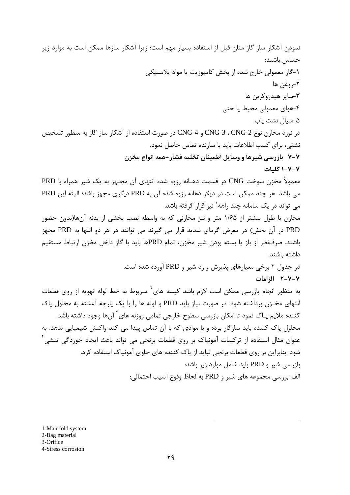نمودن آشکار ساز گاز متان قبل از استفاده بسیار مهم است؛ زیرا آشکار سازها ممکن است به موارد زیر حساس باشند: ۱-گاز معمولی خارج شده از بخش کامپوزیت یا مواد پلاستیکی ٢-, وغن ها ٣-ساير هيدروكربن ها ۴-هوای معمولی محیط یا حتی ۵-سیال نشت یاب در نورد مخازن نوع CNG-3 ، CNG-2 و CNG-4 در صورت استفاده از آشکار ساز گاز به منظور تشخیص نشتے، برای کسب اطلاعات باید با سازنده تماس حاصل نمود. ۷-۷ -بازرسی شیرها و وسایل اطمینان تخلیه فشار –همه انواع مخزن ۷-۷-۱ کلیات معمولاً مخزن سوخت CNG در قسمت دهـانه رزوه شده انتهاى آن مجـهز به يک شير همراه با PRD می باشد. هر چند ممکن است در دیگر دهانه رزوه شده آن به PRD دیگری مجهز باشد؛ البته این PRD مے<sub>،</sub> تواند د<sub>ر</sub> یک سامانه چند ,اهه ٰ نیز قرار گرفته باشد. مخازن با طول بیشتر از ۱/۶۵ متر و نیز مخازنی که به واسطه نصب بخشی از بدنه آنها(بدون حضور PRD در آن بخش) در معرض گرمای شدید قرار می گیرند می توانند در هر دو انتها به PRD مجهز باشند. صرفنظر از باز یا بسته بودن شیر مخزن، تمام PRDها باید با گاز داخل مخزن ارتباط مستقیم داشته باشند. در جدول ۲ برخی معیارهای پذیرش و رد شیر و PRD آورده شده است. ٧-٧-٢ الزامات به منظور انجام بازرسی ممکن است لازم باشد کیسه های<sup>۲</sup> مـربوط به خط لوله تهویه از روی قطعات انتهای مخـزن برداشته شود. در صورت نیاز باید PRD و لوله ها را با یک پارچه آغشته به محلول پاک کننده ملایم پـاک نمود تا امکان بازرسی سطوح خارجی تمامی روزنه های<sup>۳</sup> آنها وجود داشته باشد. محلول پاک کننده باید سازگار بوده و با موادی که با آن تماس پیدا می کند واکنش شیمیایی ندهد. به عنوان مثال استفاده از ترکیبات آمونیاک بر روی قطعات برنجی می تواند باعث ایجاد خوردگی تنشی<sup>۴</sup> شود. بنابراین بر روی قطعات برنجی نباید از پاک کننده های حاوی آمونیاک استفاده کرد. بازرسی شیر و PRD باید شامل موارد زیر باشد: الف-بررسي مجموعه هاي شير و PRD به لحاظ وقوع آسيب احتمالي:

1-Manifold system 2-Bag material 3-Orifice 4-Stress corrosion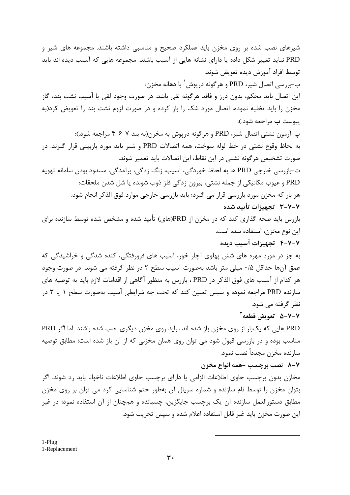شیرهای نصب شده بر روی مخزن باید عملکرد صحیح و مناسبی داشته باشند. مجموعه های شیر و PRD نباید تغییر شکل داده یا دارای نشانه هایی از آسیب باشند. مجموعه هایی که آسیب دیده اند باید توسط افراد آموزش ديده تعويض شوند. ب-بررسي اتصال شير، PRD و هرگونه درپوش <sup>۱</sup> با دهانه مخزن: این اتصال باید محکم، بدون درز و فاقد هرگونه لقی باشد. در صورت وجود لقی یا آسیب نشت بند، گاز مخزن را باید تخلیه نموده، اتصال مورد شک را باز کرده و در صورت لزوم نشت بند را تعویض کرد(به ييوست ب مراجعه شود.). پ-آزمون نشتی اتصال شیر، PRD و هرگونه درپوش به مخزن(به بند ۷–۶–۴ مراجعه شود.): به لحاظ وقوع نشتی در خط لوله سوخت، همه اتصالات PRD و شیر باید مورد بازبینی قرار گیرند. در صورت تشخیص هرگونه نشتی در این نقاط، این اتصالات باید تعمیر شوند. ت-بازرسي خارجي PRD ها به لحاظ خوردگي، آسيب، زنگ زدگي، برآمدگي، مسدود بودن سامانه تهويه PRD و عيوب مكانيكي از جمله نشتي، بيرون زدگي فلز ذوب شونده يا شل شدن ملحقات: هر بار که مخزن مورد بازرسی قرار می گیرد؛ باید بازرسی خارجی موارد فوق الذکر انجام شود. ۲-۷-۲ تجهیزات تأیید شده بازرس باید صحه گذاری کند که در مخزن از PRD(های) تأیید شده و مشخص شده توسط سازنده برای این نوع مخزن، استفاده شده است. ۴-۷-۲ تجهیزات آسیب دیده به جز در مورد مهره های شش پهلوی آچار خور، آسیب های فرورفتگی، کنده شدگی و خراشیدگی که عمق آنها حداقل ۰/۵ میلی متر باشد بهصورت آسیب سطح ۲ در نظر گرفته می شوند. در صورت وجود هر كدام از آسيب هاي فوق الذكر در PRD ، بازرس به منظور آگاهي از اقدامات لازم بايد به توصيه هاي سازنده PRD مراجعه نموده و سپس تعیین کند که تحت چه شرایطی آسیب بهصورت سطح ۱ یا ۳ در نظر گرفته مے شود. V−V−۵ تعويض قطعه <sup>٢</sup>

PRD هایی که یکبار از روی مخزن باز شده اند نباید روی مخزن دیگری نصب شده باشند. اما اگر PRD مناسب بوده و در بازرسی قبول شود می توان روی همان مخزنی که از آن باز شده است؛ مطابق توصیه سازنده مخزن مجدداً نصب نمود.

## ٨-٧ نصب برچسب -همه انواع مخزن

مخازن بدون برچسب حاوی اطلاعات الزامی یا دارای برچسب حاوی اطلاعات ناخوانا باید رد شوند. اگر بتوان مخزن را توسط نام سازنده و شماره سریال آن بهطور حتم شناسایی کرد می توان بر روی مخزن مطابق دستورالعمل سازنده آن یک برچسب جایگزین، چسبانده و همچنان از آن استفاده نمود؛ در غیر این صورت مخزن باید غیر قابل استفاده اعلام شده و سپس تخریب شود.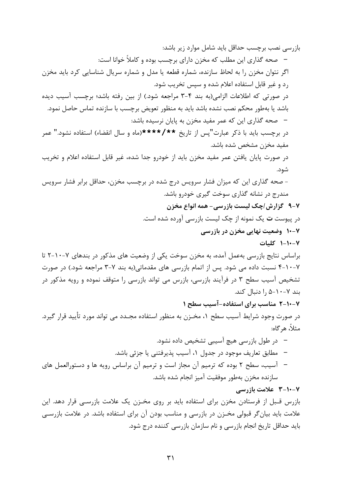بازرسی نصب برچسب حداقل باید شامل موارد زیر باشد: – \_ صحه گذاری این مطلب که مخزن دارای برچسب بوده و کاملاً خوانا است: اگر نتوان مخزن را به لحاظ سازنده، شماره قطعه یا مدل و شماره سریال شناسایی کرد باید مخزن رد و غیر قابل استفاده اعلام شده و سپس تخریب شود. در صورتی که اطلاعات الزامی(به بند ۴–۳ مراجعه شود.) از بین رفته باشد؛ برچسب آسیب دیده باشد یا بهطور محکم نصب نشده باشد باید به منظور تعویض برچسب با سازنده تماس حاصل نمود. – صحه گذاری این که عمر مفید مخزن به پایان نرسیده باشد: در برچسب باید با ذکر عبارت"پس از تاریخ \*\*/\*\*\*\*(ماه و سال انقضاء) استفاده نشود." عمر مفيد مخزن مشخص شده باشد. در صورت پایان یافتن عمر مفید مخزن باید از خودرو جدا شده، غیر قابل استفاده اعلام و تخریب شود. - صحه گذاری این که میزان فشار سرویس درج شده در برچسب مخزن، حداقل برابر فشار سرویس مندرج در نشانه گذاری سوخت گیری خودرو باشد. ۷-۹ گزارش *اچ*ک لیست بازرسی- همه انواع مخزن در پیوست **ت** یک نمونه از چک لیست بازرسی آورده شده است. ۷-۱۰ وضعیت نهایی مخزن در بازرسی ١-١٠-١ كليات براساس نتایج بازرسی بهعمل آمده، به مخزن سوخت یکی از وضعیت های مذکور در بندهای ۷-۱۰-۲ تا ۰-۱۰-۲ نسبت داده می شود. پس از اتمام بازرسی های مقدماتی(به بند ۷-۳ مراجعه شود.) در صورت تشخیص آسیب سطح ۳ در فرآیند بازرسی، بازرس می تواند بازرسی را متوقف نموده و رویه مذکور در بند ۷-۱۰-۵ ,ا دنبال کند. ۷-۱۰-۲ مناسب برای استفاده-آسیب سطح ۱ در صورت وجود شرایط آسیب سطح ۱، مخـزن به منظور استفاده مجـدد می تواند مورد تأیید قرار گیرد. مثلاً، هر گاه: –۔ در طول بازرسی هیچ آسیبی تشخیص داده نشود. – مطابق تعاريف موجود در جدول ١، آسيب پذيرفتني يا جزئي باشد. – آسیب، سطح ۲ بوده که ترمیم آن مجاز است و ترمیم آن براساس رویه ها و دستورالعمل های سازنده مخزن بهطور موفقيت آميز انجام شده باشد. ۲-۱۰-۲ علامت بازرسی بازرس قـبل از فرستادن مخزن برای استفاده باید بر روی مخـزن یک علامت بازرسـی قرار دهد. این علامت باید بیان گر قبولی مخـزن در بازرسی و مناسب بودن آن برای استفاده باشد. در علامت بازرسـی باید حداقل تاریخ انجام بازرسی و نام سازمان بازرسی کننده درج شود.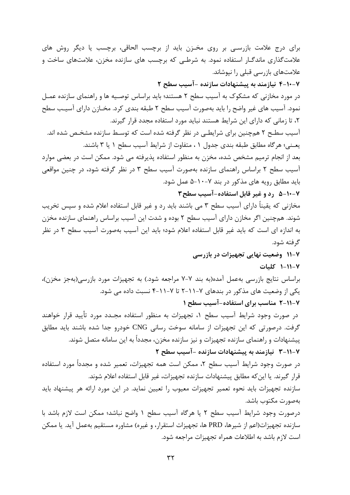برای درج علامت بازرسـی بر روی مخـزن باید از برچسب الحاقی، برچسب یا دیگر روش های علامت گذاری ماندگـار استفاده نمود. به شرطـی که برچسب های سازنده مخزن، علامتهای ساخت و علامتهای بازرسی قبلی را نپوشاند. ۷-۱۰-۴ نیازمند به پیشنهادات سازنده -آسیب سطح ۲ در مورد مخازنی که مشکوک به آسیب سطح ۲ هستند؛ باید براساس توصـیه ها و راهنمای سازنده عمـل نمود. آسیب های غیر واضح را باید بهصورت آسیب سطح ۲ طبقه بندی کرد. مخـازن دارای آسیـب سطح ۲، تا زمانی که دارای این شرایط هستند نباید مورد استفاده مجدد قرار گیرند. آسیب سطـح ۲ همچنین برای شرایطـی در نظر گرفته شده است که توسـط سازنده مشخـص شده اند. يعـني؛ هرگاه مطابق طبقه بندي جدول ١، متفاوت از شرايط آسيب سطح ١ يا ٣ باشند. بعد از انجام ترمیم مشخص شده، مخزن به منظور استفاده پذیرفته می شود. ممکن است در بعضی موارد آسیب سطح ۲ براساس راهنمای سازنده بهصورت آسیب سطح ۳ در نظر گرفته شود، در چنین مواقعی باید مطابق رویه های مذکور در بند ۷–۱۰-۵ عمل شود. ۰-۷-۵ رد و غیر قابل استفاده-آسیب سطح۳ مخازنی که یقیناً دارای آسیب سطح ۳ می باشند باید رد و غیر قابل استفاده اعلام شده و سپس تخریب شوند. همچنین اگر مخازن دارای آسیب سطح ۲ بوده و شدت این آسیب براساس راهنمای سازنده مخزن به اندازه ای است که باید غیر قابل استفاده اعلام شود؛ باید این آسیب بهصورت آسیب سطح ۳ در نظر گر فته شود. ۷-۱۱ وضعیت نهایی تجهیزات در بازرسی ١٧-١١-١ كليات براساس نتايج بازرسي بهعمل آمده(به بند ٧-٧ مراجعه شود.) به تجهيزات مورد بازرسي(بهجز مخزن)، یکی از وضعیت های مذکور در بندهای ۷–۱۱–۲ تا ۷–۱۱–۴ نسبت داده می شود. ۷-۲۱۱-۷ مناسب برای استفاده-آسیب سطح ۱ در صورت وجود شرایط آسیب سطح ۱، تجهیزات به منظور استفاده مجـدد مورد تأیید قرار خواهند گرفت. درصورتی که این تجهیزات از سامانه سوخت رسانی CNG خودرو جدا شده باشند باید مطابق پیشنهادات و راهنمای سازنده تجهیزات و نیز سازنده مخزن، مجدداً به این سامانه متصل شوند. ۷-۲۱۱-۷ نیازمند به پیشنهادات سازنده -آسیب سطح ۲ در صورت وجود شرایط آسیب سطح ۲، ممکن است همه تجهیزات، تعمیر شده و مجدداً مورد استفاده قرار گیرند. یا این که مطابق پیشنهادات سازنده تجهیزات، غیر قابل استفاده اعلام شوند. سازنده تجهیزات باید نحوه تعمیر تجهیزات معیوب را تعیین نماید. در این مورد ارائه هر پیشنهاد باید بەصورت مكتوب باشد. درصورت وجود شرايط آسيب سطح ٢ يا هرگاه آسيب سطح ١ واضح نباشد؛ ممكن است لازم باشد با سازنده تجهیزات(اعم از شیرها، PRD ها، تجهیزات استقرار، و غیره) مشاوره مستقیم بهعمل آید. یا ممکن است لازم باشد به اطلاعات همراه تجهیزات مراجعه شود.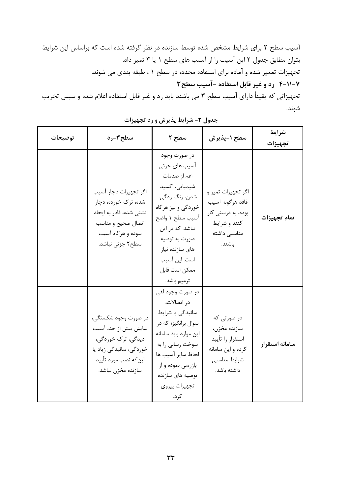آسیب سطح ۲ برای شرایط مشخص شده توسط سازنده در نظر گرفته شده است که براساس این شرایط بتوان مطابق جدول ۲ این آسیب را از آسیب های سطح ۱ یا ۳ تمیز داد. تجهیزات تعمیر شده و آماده برای استفاده مجدد، در سطح ۱ ، طبقه بندی می شوند. ۰۷-۰۱-۴ رد و غیر قابل استفاده -آسیب سطح۳ تجهیزاتی که یقیناً دارای آسیب سطح ۳ می باشند باید رد و غیر قابل استفاده اعلام شده و سپس تخریب

| توضيحات | سطح۳-رد                                                                                                                                     | سطح ٢                                                                                                                                                                                                                               | سطح ١-پذيرش                                                                                            | شرايط<br>تجهيزات |
|---------|---------------------------------------------------------------------------------------------------------------------------------------------|-------------------------------------------------------------------------------------------------------------------------------------------------------------------------------------------------------------------------------------|--------------------------------------------------------------------------------------------------------|------------------|
|         | اگر تجهیزات دچار آسیب<br>شده، ترک خورده، دچار<br>نشتی شده، قادر به ایجاد<br>اتصال صحيح و مناسب<br>نبوده و هرگاه آسیب<br>سطح۲ جزئی نباشد.    | در صورت وجود<br>آسیب های جزئی<br>اعم از صدمات<br>شیمیایی، اکسید<br>شدن، زنگ زدگی،<br>خوردگی و نیز هرگاه<br>آسيب سطح ١ واضح<br>نباشد. که در این<br>صورت به توصيه<br>های سازنده نیاز<br>است. این آسیب<br>ممكن است قابل<br>ترميم باشد. | اگر تجهيزات تميز و<br>فاقد هرگونه آسيب<br>بوده، به درستی کار<br>كنند و شرايط<br>مناسبى داشته<br>باشند. | تمام تجهيزات     |
|         | در صورت وجود شکستگی،<br>سایش بیش از حد، آسیب<br>دیدگی، ترک خوردگی،<br>خوردگی، سائیدگی زیاد یا<br>اينكه نصب مورد تأييد<br>سازنده مخزن نباشد. | در صورت وجود لقي<br>در اتصالات،<br>سائیدگی یا شرایط<br>سوال برانگیز؛ که در<br>اين موارد بايد سامانه<br>سوخت رساني را به<br>لحاظ ساير آسيب ها<br>بازرسی نموده و از<br>توصيه هاى سازنده<br>تجهيزات پيروي<br>کرد.                      | در صورتی که<br>سازنده مخزن،<br>استقرار را تأييد<br>كرده و اين سامانه<br>شرايط مناسبي<br>داشته باشد.    | سامانه استقرار   |

جدول ٢- شرايط پذيرش و رد تجهيزات

شوند.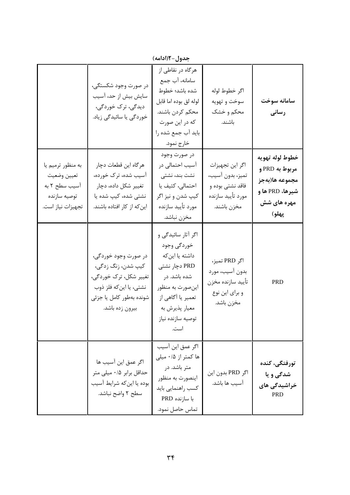|                                                                                        | در صورت وجود شکستگی،<br>سایش بیش از حد، آسیب<br>دیدگی، ترک خوردگی،<br>خوردگی یا سائیدگی زیاد.                                                  | هرگاه در نقاطی از<br>سامانه، آب جمع<br>شده باشد؛ خطوط<br>لوله لق بوده اما قابل<br>محکم کردن باشند.<br>که در این صورت<br>باید آب جمع شده را<br>خارج نمود.                              | اگر خطوط لوله<br>سوخت و تهويه<br>محکم و خشک<br>باشند.                                       | سامانه سوخت<br>رسانی                                                                           |
|----------------------------------------------------------------------------------------|------------------------------------------------------------------------------------------------------------------------------------------------|---------------------------------------------------------------------------------------------------------------------------------------------------------------------------------------|---------------------------------------------------------------------------------------------|------------------------------------------------------------------------------------------------|
| به منظور ترميم يا<br>تعيين وضعيت<br>آسیب سطح ۲ به<br>توصيه سازنده<br>تجهيزات نياز است. | هرگاه این قطعات دچار<br>آسیب شده، ترک خورده،<br>تغییر شکل داده، دچار<br>نشتی شده، کیپ شده یا<br>این که از کار افتاده باشند.                    | در صورت وجود<br>آسیب احتمالی در<br>نشت بند، نشتی<br>احتمالی، کثیف یا<br>كيپ شدن و نيز اگر<br>مورد تأييد سازنده<br>مخزن نباشد.                                                         | اگر این تجهیزات<br>تميز، بدون آسيب،<br>فاقد نشتى بوده و<br>مورد تأييد سازنده<br>مخزن باشند. | خطوط لوله تهويه<br>مربوط به PRD و<br>مجموعه ها(بهجز<br>شيرها، PRD ها و<br>مهره های شش<br>پهلو) |
|                                                                                        | در صورت وجود خوردگی،<br>كيپ شدن، زنگ زدگي،<br>تغییر شکل، ترک خوردگی،<br>نشتی، یا این که فلز ذوب<br>شونده بهطور كامل يا جزئي<br>بيرون زده باشد. | اگر آثار سائیدگی و<br>خوردگی وجود<br>داشته یا این <i>ک</i> ه<br>PRD دچار نشتی<br>شده باشد. در<br>اينصورت به منظور<br>تعمیر یا آگاهی از<br>معيار پذيرش به<br>توصيه سازنده نياز<br>است. | اگر PRD تميز،<br>بدون أسيب، مورد<br>تأييد سازنده مخزن<br>و براي اين نوع<br>مخزن باشد.       | <b>PRD</b>                                                                                     |
|                                                                                        | اگر عمق این آسیب ها<br>حداقل برابر ۰/۵ میلی متر<br>بوده يا اينكه شرايط أسيب<br>سطح ٢ واضح نباشد.                                               | اگر عمق این آسیب<br>ها کمتر از ۰/۵ میلی<br>متر باشد. در<br>اينصورت به منظور<br>كسب راهنمايي بايد<br>با سازنده PRD<br>تماس حاصل نمود.                                                  | اگر PRD بدون اين<br>آسیب ها باشد.                                                           | تورفتگى، كنده<br>شدگی و یا<br>خراشیدگی های<br><b>PRD</b>                                       |

حدول-1(ادامه)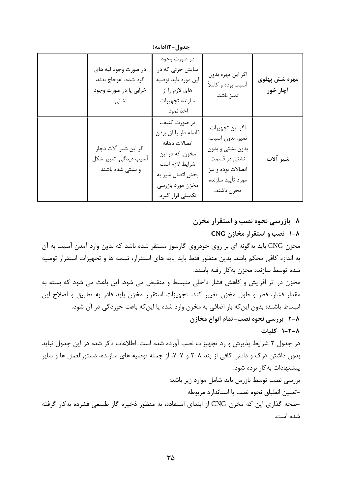جدول-1(ادامه)

| در صورت وجود لبه های<br>گرد شده، اعوجاج بدنه،<br>خرابي يا در صورت وجود<br>نشتى. | در صورت وجود<br>سایش جزئی که در<br>اين مورد بايد توصيه<br>های لازم را از<br>سازنده تجهيزات<br>اخذ نمود.                                                  | اگر این مهره بدون<br>آسیب بوده و کاملاً<br>تميز باشد.                                                                             | مهره شش پهلوی<br>آچار خور |
|---------------------------------------------------------------------------------|----------------------------------------------------------------------------------------------------------------------------------------------------------|-----------------------------------------------------------------------------------------------------------------------------------|---------------------------|
| اگر این شیر آلات دچار<br>أسيب ديدگي، تغيير شكل<br>و نشتی شده باشند.             | در صورت كثيف،<br>فاصله دار يا لق بودن<br>اتصالات دهانه<br>مخزن. كه در اين<br>شرايط لازم است<br>بخش اتصال شير به<br>مخزن مورد بازرسي<br>تکمیلی قرار گیرد. | اگر این تجهیزات<br>تميز، بدون آسيب،<br>بدون نشتى و بدون<br>نشتی در قسمت<br>اتصالات بوده و نيز<br>مورد تأييد سازنده<br>مخزن باشند. | شير آلات                  |

۸ بازرسی نحوه نصب و استقرار مخزن

۰۸– نصب و استقرار مخازن CNG

مخزن CNG باید بهگونه ای بر روی خودروی گازسوز مستقر شده باشد که بدون وارد آمدن آسیب به آن به اندازه کافی محکم باشد. بدین منظور فقط باید پایه های استقرار، تسمه ها و تجهیزات استقرار توصیه شده توسط سازنده مخزن بهكار رفته باشند.

مخزن در اثر افزایش و کاهش فشار داخلی منبسط و منقبض می شود. این باعث می شود که بسته به مقدار فشار، قطر و طول مخزن تغییر کند. تجهیزات استقرار مخزن باید قادر به تطبیق و اصلاح این انبساط باشند؛ بدون این که بار اضافی به مخزن وارد شده یا این که باعث خوردگی در آن شود. 8-8٪ بررسی نحوه نصب-تمام انواع مخازن

٨-٢-١ كليات

در جدول ۲ شرایط پذیرش و رد تجهیزات نصب آورده شده است. اطلاعات ذکر شده در این جدول نباید بدون داشتن درک و دانش کافی از بند ۸–۲ و ۷–۷، از جمله توصیه های سازنده، دستورالعمل ها و سایر ییشنهادات به کار بر ده شود.

بررسی نصب توسط بازرس باید شامل موارد زیر باشد: -تعيين انطباق نحوه نصب با استاندارد مربوطه

-صحه گذاری این که مخزن CNG از ابتدای استفاده، به منظور ذخیره گاز طبیعی فشرده بهکار گرفته شده است.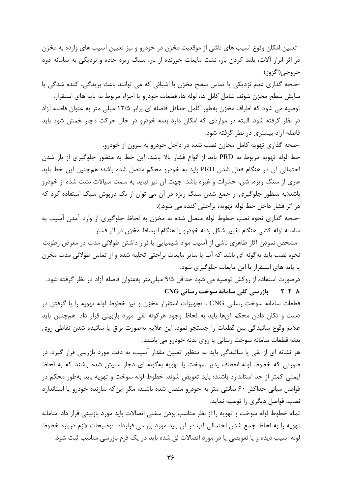–تعیین امکان وقوع آسیب های ناشی از موقعیت مخزن در خودرو و نیز تعیین آسیب های وارده به مخزن در اثر ابزار آلات، بلند کردن بار، نشت مایعات خورنده از بار، سنگ ریزه جاده و نزدیکی به سامانه دود خروجي(اڳزوز).

-صحه گذاری عدم نزدیکی یا تماس سطح مخزن با اشیائی که می توانند باعث بریدگی، کنده شدگی یا سايش سطح مخزن شوند. شامل كابل ها، لوله ها، قطعات خودرو يا اجزاء مربوط به پايه هاي استقرار. توصیه می شود که اطراف مخزن بهطور کامل حداقل فاصله ای برابر ۱۲/۵ میلی متر به عنوان فاصله آزاد در نظر گرفته شود. البته در مواردی که امکان دارد بدنه خودرو در حال حرکت دچار خمش شود باید فاصله آزاد بیشتری در نظر گرفته شود.

-صحه گذاری تهویه کامل مخازن نصب شده در داخل خودرو به بیرون از خودرو. خط لوله تهویه مربوط به PRD باید از انواع فشار بالا باشد. این خط به منظور جلوگیری از باز شدن احتمالی آن در هنگام فعال شدن PRD باید به خودرو محکم متصل شده باشد؛ همچنین این خط باید عاری از سنگ ریزه، شن، حشرات و غیره باشد. جهت آن نیز نباید به سمت سیالات نشت شده از خودرو باشد(به منظور جلوگیری از جمع شدن سنگ ریزه در آن می توان از یک درپوش سبک استفاده کرد که در اثر فشار داخل خط لوله تهويه، براحتى كنده مى شود.).

-صحه گذاری نحوه نصب خطوط لوله متصل شده به مخزن به لحاظ جلوگیری از وارد آمدن آسیب به سامانه لوله کشی هنگام تغییر شکل بدنه خودرو یا هنگام انبساط مخزن در اثر فشار.

-مشخص نمودن آثار ظاهری ناشی از آسیب مواد شیمیایی یا قرار داشتن طولانی مدت در معرض رطوبت نحوه نصب باید به گونه ای باشد که آب یا سایر مایعات براحتی تخلیه شده و از تماس طولانی مدت مخزن یا پایه های استقرار با این مایعات جلوگیری شود.

درصورت استفاده از روكش توصيه مي شود حداقل ۹/۵ ميليءتر بهعنوان فاصله آزاد در نظر گرفته شود. ۲-۲-۸ بازرسی کلی سامانه سوخت رسانی CNG

قطعات سامانه سوخت رسانی CNG ، تجهیزات استقرار مخزن و نیز خطوط لوله تهویه را با گرفتن در دست و تکان دادن محکم آنها باید به لحاظ وجود هرگونه لقی مورد بازبینی قرار داد. همچنین باید علايم وقوع سائيدگي بين قطعات را جستجو نمود. اين علايم بهصورت براق يا سائيده شدن نقاطي روي بدنه قطعات سامانه سوخت رسانی یا روی بدنه خودرو می باشند.

هر نشانه ای از لقی یا سائیدگی باید به منظور تعیین مقدار آسیب، به دقت مورد بازرسی قرار گیرد. در صورتی که خطوط لوله انعطاف پذیر سوخت یا تهویه بهگونه ای دچار سایش شده باشند که به لحاظ ايمني كمتر از حد استاندارد باشند؛ بايد تعويض شوند. خطوط لوله سوخت و تهويه بايد بهطور محكم در فواصل میانی حداکثر ۶۰ سانتی متر به خودرو متصل شده باشند؛ مگر این که سازنده خودرو یا استاندارد نصب، فواصل دیگری را توصیه نماید.

تمام خطوط لوله سوخت و تهويه را از نظر مناسب بودن سفتي اتصالات بايد مورد بازبيني قرار داد. سامانه تهويه را به لحاظ جمع شدن احتمالي آب در آن بايد مورد بررسي قرارداد. توضيحات لازم درباره خطوط لوله آسیب دیده و یا تعویضی یا در مورد اتصالات لق شده باید در یک فرم بازرسی مناسب ثبت شود.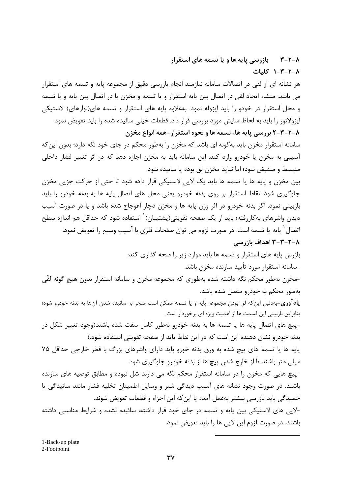**۲–۲–۲ میل** بازرسی پایه ها و یا تسمه های استقرار ٨-٣-٣-١ كليات

هر نشانه ای از لقی در اتصالات سامانه نیازمند انجام بازرسی دقیق از مجموعه پایه و تسمه های استقرار می باشد. منشاء ایجاد لقی در اتصال بین پایه استقرار و یا تسمه و مخزن یا در اتصال بین پایه و یا تسمه و محل استقرار در خودو را باید ایزوله نمود. بهعلاوه پایه های استقرار و تسمه های(نوارهای) لاستیکی ایزولاتور را باید به لحاظ سایش مورد بررسی قرار داد. قطعات خیلی سائیده شده را باید تعویض نمود. ٨-٢-٣-٢ بررسي پايه ها، تسمه ها و نحوه استقرار-همه انواع مخزن

سامانه استقرار مخزن باید به گونه ای باشد که مخزن را بهطور محکم در جای خود نگه دارد؛ بدون این که آسیبی به مخزن یا خودرو وارد کند. این سامانه باید به مخزن اجازه دهد که در اثر تغییر فشار داخلی منبسط و منقبض شود؛ اما نبايد مخزن لق بوده يا سائيده شود.

بین مخزن و پایه ها یا تسمه ها باید یک لایی لاستیکی قرار داده شود تا حتی از حرکت جزیی مخزن جلوگیری شود. نقاط استقرار بر روی بدنه خودرو یعنی محل های اتصال پایه ها به بدنه خودرو را باید بازبینی نمود. اگر بدنه خودرو در اثر وزن پایه ها و مخزن دچار اعوجاج شده باشد و یا در صورت آسیب ديدن واشرهاي بهكاررفته؛ بايد از يک صفحه تقويتي(پشتيبان)` استفاده شود که حداقل هم اندازه سطح اتصال<sup>۲</sup> پایه یا تسمه است. در صورت لزوم می توان صفحات فلزی با آسیب وسیع را تعویض نمود. ۲-۲-۲-۲ اهداف بازرسی

> بازرس پایه های استقرار و تسمه ها باید موارد زیر را صحه گذاری کند: -سامانه استقرار مورد تأييد سازنده مخزن باشد.

-مخزن بهطور محكم نگه داشته شده بهطورى كه مجموعه مخزن و سامانه استقرار بدون هيچ گونه لقّى بهطور محکم به خودرو متصل شده باشد.

**یادآوری**-بهدلیل این که لق بودن مجموعه پایه و یا تسمه ممکن است منجر به سائیده شدن آنها به بدنه خودرو شود؛ بنابراین بازبینی این قسمت ها از اهمیت ویژه ای برخوردار است.

-پیچ های اتصال پایه ها یا تسمه ها به بدنه خودرو بهطور کامل سفت شده باشند(وجود تغییر شکل در بدنه خودرو نشان دهنده این است که در این نقاط باید از صفحه تقویتی استفاده شود.).

پایه ها یا تسمه های پیچ شده به ورق بدنه خورو باید دارای واشرهای بزرگ با قطر خارجی حداقل ۷۵ میلی متر باشند تا از خارج شدن پیچ ها از بدنه خودرو جلوگیری شود.

-پیچ هایی که مخزن را در سامانه استقرار محکم نگه می دارند شل نبوده و مطابق توصیه های سازنده باشند. در صورت وجود نشانه های آسیب دیدگی شیر و وسایل اطمینان تخلیه فشار مانند سائیدگی یا خمیدگی باید بازرسی بیشتر بهعمل آمده یا این که این اجزاء و قطعات تعویض شوند.

-لایی های لاستیکی بین پایه و تسمه در جای خود قرار داشته، سائیده نشده و شرایط مناسبی داشته باشند. در صورت لزوم این لایی ها را باید تعویض نمود.

1-Back-up plate 2-Footpoint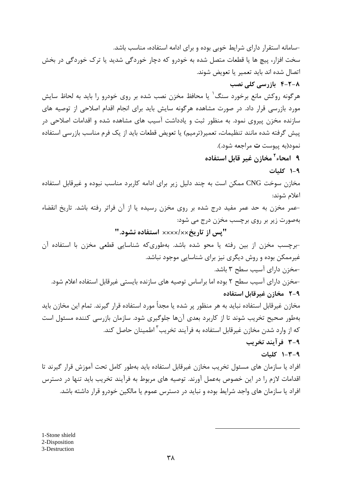-سامانه استقرار دارای شرایط خوبی بوده و برای ادامه استفاده، مناسب باشد. سخت افزار، پیچ ها یا قطعات متصل شده به خودرو که دچار خوردگی شدید یا ترک خوردگی در بخش اتصال شده اند بايد تعمير يا تعويض شوند. **۴-۲-۸ بازرسی کلی نصب** هرگونه روکش مانع برخورد سنگ ٰ یا محافظ مخزن نصب شده بر روی خودرو را باید به لحاظ سایش مورد بازرسی قرار داد. در صورت مشاهده هرگونه سایش باید برای انجام اقدام اصلاحی از توصیه های سازنده مخزن پیروی نمود. به منظور ثبت و یادداشت آسیب های مشاهده شده و اقدامات اصلاحی در پیش گرفته شده مانند تنظیمات، تعمیر(ترمیم) یا تعویض قطعات باید از یک فرم مناسب بازرسی استفاده نمود(به ييوست ت مراجعه شود.). ۹ امحاء<sup>۲</sup> مخازن غیر قابل استفاده ۰-۹ کلیات مخازن سوخت CNG ممکن است به چند دلیل زیر برای ادامه کاربرد مناسب نبوده و غیرقابل استفاده اعلام شوند: -عمر مخزن به حد عمر مفید درج شده بر روی مخزن رسیده یا از آن فراتر رفته باشد. تاریخ انقضاء بهصورت زیر بر روی برچسب مخزن درج می شود: "پس از تاریخ×××××× استفاده نشود." -برچسب مخزن از بین رفته یا محو شده باشد. بهطوریکه شناسایی قطعی مخزن با استفاده آن غیرممکن بوده و روش دیگری نیز برای شناسایی موجود نباشد. -مخزن دارای آسیب سطح ۳ باشد. -مخزن دارای آسیب سطح ۲ بوده اما براساس توصیه های سازنده بایستی غیرقابل استفاده اعلام شود. ٩-٢٪ مخازن غيرقابل استفاده مخازن غیرقابل استفاده نباید به هر منظور پر شده یا مجداً مورد استفاده قرار گیرند. تمام این مخازن باید بهطور صحیح تخریب شوند تا از کاربرد بعدی آنها جلوگیری شود. سازمان بازرسی کننده مسئول است که از وارد شدن مخازن غیرقابل استفاده به فرآیند تخریب<sup>۳</sup> اطمینان حاصل کند. ٩-٣ فرآيند تخريب ٩-٣-١ كليات افراد یا سازمان های مسئول تخریب مخازن غیرقابل استفاده باید بهطور کامل تحت آموزش قرار گیرند تا اقدامات لازم را در این خصوص بهعمل آورند. توصیه های مربوط به فرآیند تخریب باید تنها در دسترس افراد یا سازمان های واجد شرایط بوده و نباید در دسترس عموم یا مالکین خودرو قرار داشته باشد.

1-Stone shield 2-Disposition 3-Destruction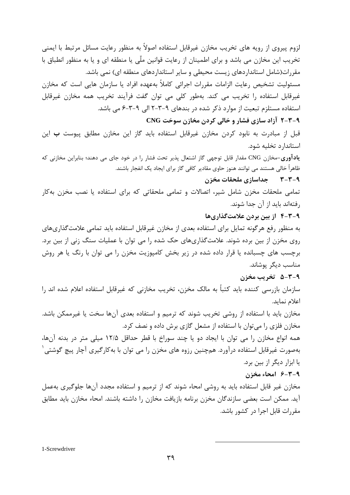لزوم پیروی از رویه های تخریب مخازن غیرقابل استفاده اصولاً به منظور رعایت مسائل مرتبط با ایمنی تخریب این مخازن می باشد و برای اطمینان از رعایت قوانین ملّی یا منطقه ای و یا به منظور انطباق با مقررات(شامل استانداردهای زیست محیطی و سایر استانداردهای منطقه ای) نمی باشد. مسئولیت تشخیص رعایت الزامات مقررات اجرائی کاملاً بهعهده افراد یا سازمان هایی است که مخازن غیرقابل استفاده را تخریب می کند. بهطور کلی می توان گفت فرآیند تخریب همه مخازن غیرقابل استفاده مستلزم تبعیت از موارد ذکر شده در بندهای ۹-۳-۲ الی ۹-۳-۶ می باشد. ۹-۳-۲ آزاد سازی فشار و خالی کردن مخازن سوخت CNG

قبل از مبادرت به نابود کردن مخازن غیرقابل استفاده باید گاز این مخازن مطابق پیوست **ب** این استاندارد تخلیه شود.

ی**ادآوری**-مخازن CNG مقدار قابل توجهی گاز اشتعال پذیر تحت فشار را در خود جای می دهند؛ بنابراین مخازنی که ظاهراً خالی هستند می توانند هنوز حاوی مقادیر کافی گاز برای ایجاد یک انفجار باشند.

#### ۹-۳-۳ جداسازی ملحقات مخزن

تمامی ملحقات مخزن شامل شیر، اتصالات و تمامی ملحقاتی که برای استفاده یا نصب مخزن بهکار رفتهاند باید از آن جدا شوند.

## ۹-۳-۴ از بین بردن علامتگذاریها

به منظور رفع هرگونه تمایل برای استفاده بعدی از مخازن غیرقابل استفاده باید تمامی علامت گذاریهای روی مخزن از بین برده شوند. علامتگذاریهای حک شده را می توان با عملیات سنگ زنی از بین برد. برچسب های چسبانده یا قرار داده شده در زیر بخش کامپوزیت مخزن را می توان با رنگ یا هر روش مناسب دیگر یوشاند.

#### ٩-٣-۵ تخريب مخزن

سازمان بازرسی کننده باید کتباً به مالک مخزن، تخریب مخازنی که غیرقابل استفاده اعلام شده اند را اعلام نمايد.

مخازن باید با استفاده از روشی تخریب شوند که ترمیم و استفاده بعدی آنها سخت یا غیرممکن باشد. مخازن فلزی را میتوان با استفاده از مشعل گازی برش داده و نصف کرد.

همه انواع مخازن را می توان با ایجاد دو یا چند سوراخ با قطر حداقل ۱۲/۵ میلی متر در بدنه آنها، بهصورت غیرقابل استفاده درآورد. همچنین رزوه های مخزن را می توان با به کارگیری آچار پیچ گوشتی ٰ یا ابزار دیگر از بین برد.

## ۹-۳-۶ امحاء مخزن

مخازن غیر قابل استفاده باید به روشی امحاء شوند که از ترمیم و استفاده مجدد آنها جلوگیری بهعمل آید. ممکن است بعضی سازندگان مخزن برنامه بازیافت مخازن را داشته باشند. امحاء مخازن باید مطابق مقررات قابل اجرا در کشور باشد.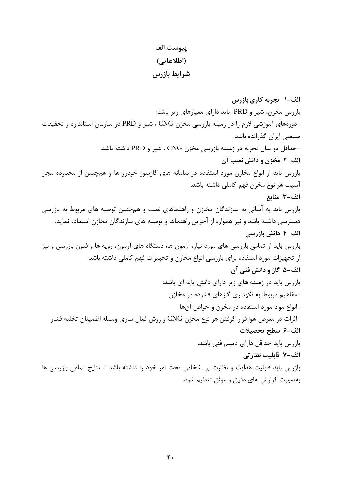## ييوست الف (اطلاعاتی) شرايط بازرس

الف-١- تجربه كاري بازرس بازرس مخزن، شیر و PRD باید دارای معیارهای زیر باشد: -دورههای آموزشی لازم را در زمینه بازرسی مخزن CNG ، شیر و PRD در سازمان استاندارد و تحقیقات صنعتی ایران گذرانده باشد. -حداقل دو سال تجربه در زمینه بازرسی مخزن CNG ، شیر و PRD داشته باشد. الف-٢ مخزن و دانش نصب آن بازرس باید از انواع مخازن مورد استفاده در سامانه های گازسوز خودرو ها و همچنین از محدوده مجاز آسیب هر نوع مخزن فهم کاملی داشته باشد. الف-٣ منابع بازرس باید به آسانی به سازندگان مخازن و راهنماهای نصب و همچنین توصیه های مربوط به بازرسی دسترسی داشته باشد و نیز همواره از آخرین راهنماها و توصیه های سازندگان مخازن استفاده نماید. الف-۴ دانش بازرسی بازرس باید از تمامی بازرسی های مورد نیاز، آزمون ها، دستگاه های آزمون، رویه ها و فنون بازرسی و نیز از تجهیزات مورد استفاده برای بازرسی انواع مخازن و تجهیزات فهم کاملی داشته باشد. الف-۵ گاز و دانش فنی آن بازرس باید در زمینه های زیر دارای دانش پایه ای باشد: -مفاهیم مربوط به نگهداری گازهای فشرده در مخازن -انواع مواد مورد استفاده در مخزن و خواص آنها اثرات در معرض هوا قرار گرفتن هر نوع مخزن CNG و روش فعال سازی وسیله اطمینان تخلیه فشار $\hbox{--}$ الف-۶ سطح تحصيلات بازرس باید حداقل دارای دیپلم فنی باشد. الف-٧ قابليت نظارتي بازرس باید قابلیت هدایت و نظارت بر اشخاص تحت امر خود را داشته باشد تا نتایج تمامی بازرسی ها بهصورت گزارش های دقیق و موثّق تنظیم شود.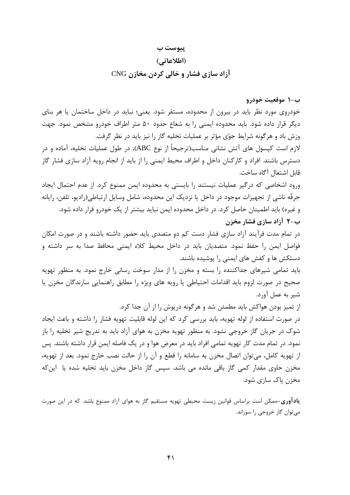#### پیوست ب

### (اطلاعاتی)

## آزاد سازی فشار و خالی کردن مخازن CNG

## ب-١ موقعت خودرو

خودروی مورد نظر باید در بیرون از محدوده، مستقر شود. یعنی؛ نباید در داخل ساختمان یا هر بنای دیگر قرار داده شود. باید محدوده ایمنی را به شعاع حدود ۵۰ متر اطراف خودرو مشخص نمود. جهت وزش باد و هرگونه شرایط جوّی مؤثر بر عملیات تخلیه گاز را نیز باید در نظر گرفت.

لازم است کیسول های آتش نشانی مناسب(ترجیحاً از نوع ABC)، در طول عملیات تخلیه، آماده و در دسترس باشند. افراد و کارکنان داخل و اطراف محیط ایمنی را از باید از انجام رویه آزاد سازی فشار گاز قابل اشتعال آگاه ساخت.

ورود اشخاصی که درگیر عملیات نیستند را بایستی به محدوده ایمن ممنوع کرد. از عدم احتمال ایجاد جرقّه ناشی از تجهیزات موجود در داخل یا نزدیک این محدوده، شامل وسایل ارتباطی(رادیو، تلفن، رایانه و غیره) باید اطمینان حاصل کرد. در داخل محدوده ایمن نباید بیشتر از یک خودرو قرار داده شود. ب-۲ آزاد سازی فشار مخزن

در تمام مدت فرآیند آزاد سازی فشار دست کم دو متصدی باید حضور داشته باشند و در صورت امکان فواصل ایمن را حفظ نمود. متصدیان باید در داخل محیط کلاه ایمنی محافظ صدا به سر داشته و دستکش ها و کفش های ایمنی را پوشیده باشند.

باید تمامی شیرهای جداکننده را بسته و مخزن را از مدار سوخت رسانی خارج نمود. به منظور تهویه صحیح در صورت لزوم باید اقدامات احتیاطی یا رویه های ویژه را مطابق راهنمایی سازندگان مخزن یا شير به عمل آورد.

از تمیز بودن هواکش باید مطمئن شد و هرگونه درپوش را از آن جدا کرد.

در صورت استفاده از لوله تهویه، باید بررسی کرد که این لوله قابلیت تهویه فشار را داشته و باعث ایجاد شوک در جریان گاز خروجی نشود. به منظور تهویه مخزن به هوای آزاد باید به تدریج شیر تخلیه را باز نمود. در تمام مدت کار تهویه تمامی افراد باید در معرض هوا و در یک فاصله ایمن قرار داشته باشند. پس از تهویه کامل، می توان اتصال مخزن به سامانه را قطع و آن را از حالت نصب خارج نمود. بعد از تهویه، مخزن حاوی مقدار کمی گاز باقی مانده می باشد. سپس گاز داخل مخزن باید تخلیه شده یا اینکه مخزن پاک سازی شود.

**یادآوری**-ممکن است براساس قوانین زیست محیطی تهویه مستقیم گاز به هوای آزاد ممنوع باشد. که در این صورت مي توان گاز خروجي را سوزاند.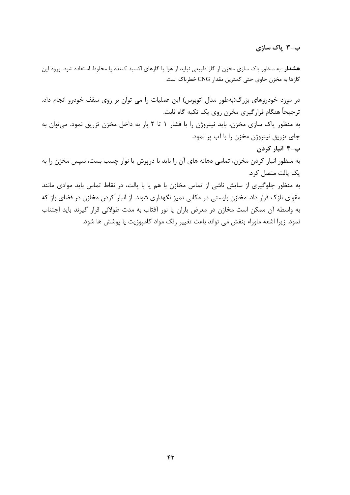## ب-۳ پاک سازی

هشدار-به منظور پاک سازی مخزن از گاز طبیعی نباید از هوا یا گازهای اکسید کننده یا مخلوط استفاده شود. ورود این گازها به مخزن حاوی حتی کمترین مقدار CNG خطرناک است.

در مورد خودروهای بزرگ(بهطور مثال اتوبوس) این عملیات را می توان بر روی سقف خودرو انجام داد. ترجیحاً هنگام قرارگیری مخزن روی یک تکیه گاه ثابت. به منظور پاک سازی مخزن، باید نیتروژن را با فشار ۱ تا ۲ بار به داخل مخزن تزریق نمود. می توان به جای تزریق نیتروژن مخزن را با آب پر نمود. ب-۴ انبار کردن به منظور انبار کردن مخزن، تمامی دهانه های آن را باید با درپوش یا نوار چسب بست، سپس مخزن را به یک پالت متصل کرد. به منظور جلوگیری از سایش ناشی از تماس مخازن با هم یا با پالت، در نقاط تماس باید موادی مانند مقوای نازک قرار داد. مخازن بایستی در مکانی تمیز نگهداری شوند. از انبار کردن مخازن در فضای باز که به واسطه آن ممكن است مخازن در معرض باران يا نور آفتاب به مدت طولاني قرار گيرند بايد اجتناب

نمود. زیرا اشعه ماوراء بنفش می تواند باعث تغییر رنگ مواد کامپوزیت یا پوشش ها شود.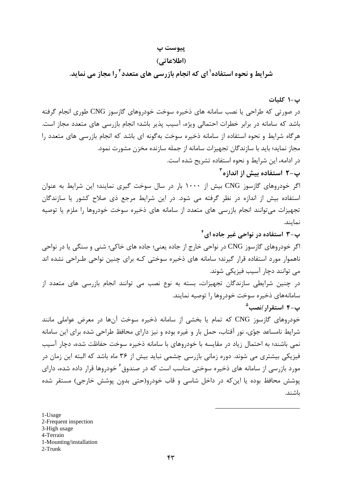## ييوست پ

#### (اطلاعاتی)

شرایط و نحوه استفاده<sup>۱</sup> ای که انجام بازرسی های متعدد<sup>۲</sup> را مجاز می نماید.

ب-١ كليات

در صورتی که طراحی یا نصب سامانه های ذخیره سوخت خودروهای گازسوز CNG طوری انجام گرفته باشد که سامانه در برابر خطرات احتمالی ویژه، آسیب پذیر باشد؛ انجام بازرسی های متعدد مجاز است. هرگاه شرایط و نحوه استفاده از سامانه ذخیره سوخت بهگونه ای باشد که انجام بازرسی های متعدد را مجاز نماید؛ باید با سازندگان تجهیزات سامانه از جمله سازنده مخزن مشورت نمود. در ادامه، این شرایط و نحوه استفاده تشریح شده است. پ–۲ استفاده بیش از اندازه<sup>۲</sup>

اگر خودروهای گازسوز CNG بیش از ۱۰۰۰ بار در سال سوخت گیری نمایند؛ این شرایط به عنوان استفاده بیش از اندازه در نظر گرفته می شود. در این شرایط مرجع ذی صلاح کشور یا سازندگان تجهیزات میتوانند انجام بازرسی های متعدد از سامانه های ذخیره سوخت خودروها را ملزم یا توصیه نمايند.

پ-۳ استفاده در نواحی غیر جاده ای<sup>۴</sup>

اگر خودروهای گازسوز CNG در نواحی خارج از جاده یعنی؛ جاده های خاکی؛ شنی و سنگی یا در نواحی ناهموار مورد استفاده قرار گیرند؛ سامانه های ذخیره سوختی کـه برای چنین نواحی طـراحی نشده اند می توانند دچار آسیب فیزیکی شوند.

در چنین شرایطی سازندگان تجهیزات، بسته به نوع نصب می توانند انجام بازرسی های متعدد از سامانههای ذخیره سوخت خودروها را توصیه نمایند.

ب−۴ استقرار *ا*نصب<sup>۵</sup>

خودروهای گازسوز CNG که تمام یا بخشی از سامانه ذخیره سوخت آنها در معرض عواملی مانند شرایط نامساعد جوّی، نور آفتاب، حمل بار و غیره بوده و نیز دارای محافظ طراحی شده برای این سامانه نمی باشند؛ به احتمال زیاد در مقایسه با خودروهای با سامانه ذخیره سوخت حفاظت شده، دچار آسیب فیزیکی بیشتری می شوند. دوره زمانی بازرسی چشمی نباید بیش از ۳۶ ماه باشد که البته این زمان در مورد بازرسی از سامانه های ذخیره سوختی مناسب است که در صندوق<sup>۶</sup> خودروها قرار داده شده، دارای پوشش محافظ بوده یا این که در داخل شاسی و قاب خودرو(حتی بدون پوشش خارجی) مستقر شده ىاشند.

1-Usage 2-Frequent inspection 3-High usage 4-Terrain 1-Mounting/installation  $2-Trunk$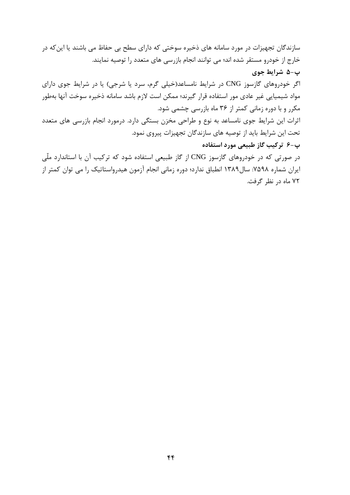سازندگان تجهیزات در مورد سامانه های ذخیره سوختی که دارای سطح بی حفاظ می باشند یا این که در خارج از خودرو مستقر شده اند؛ می توانند انجام بازرسی های متعدد را توصیه نمایند. پ-۵ شرایط جوی اگر خودروهای گازسوز CNG در شرایط نامساعد(خیلی گرم، سرد یا شرجی) یا در شرایط جوی دارای مواد شیمیایی غیر عادی مور استفاده قرار گیرند؛ ممکن است لازم باشد سامانه ذخیره سوخت آنها بهطور مکرر و با دوره زمانی کمتر از ۳۶ ماه بازرسی چشمی شود. اثرات این شرایط جوی نامساعد به نوع و طراحی مخزن بستگی دارد. درمورد انجام بازرسی های متعدد تحت این شرایط باید از توصیه های سازندگان تجهیزات پیروی نمود. پ-۶ ترکیب گاز طبیعی مورد استفاده در صورتی که در خودروهای گازسوز CNG از گاز طبیعی استفاده شود که ترکیب آن با استاندارد ملّی ایران شماره ۷۵۹۸: سال ۱۳۸۹ انطباق ندارد؛ دوره زمانی انجام آزمون هیدرواستاتیک را می توان کمتر از ۷۲ ماه در نظر گرفت.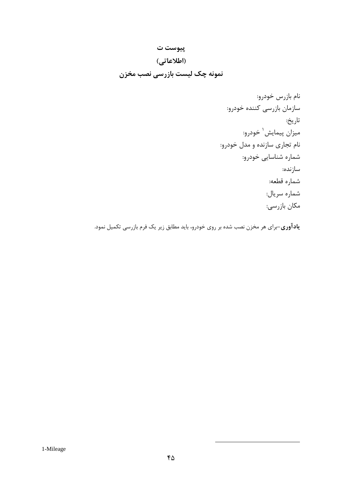## پيوست ت

## (اطلاعاتی)

## نمونه چک لیست بازرسی نصب مخزن

**یادآوری**–برای هر مخزن نصب شده بر روی خودرو، باید مطابق زیر یک فرم بازرسی تکمیل نمود.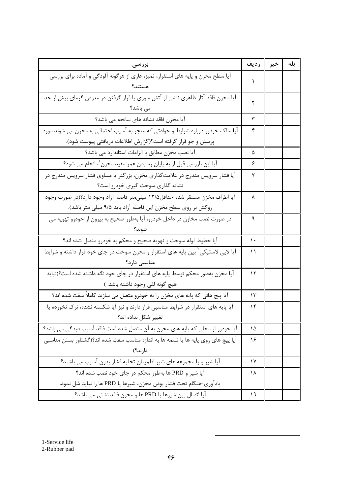| بررسي                                                                                        | رديف          | خير | بله |
|----------------------------------------------------------------------------------------------|---------------|-----|-----|
| آیا سطح مخزن و پایه های استقرار، تمیز، عاری از هرگونه آلودگی و آماده برای بررسی<br>هستند؟    |               |     |     |
| آیا مخزن فاقد آثار ظاهری ناشی از آتش سوزی یا قرار گرفتن در معرض گرمای بیش از حد<br>می باشد؟  | ٢             |     |     |
| آیا مخزن فاقد نشانه های سانحه می باشد؟                                                       | ٣             |     |     |
| آیا مالک خودرو درباره شرایط و حوادثی که منجر به آسیب احتمالی به مخزن می شوند مورد            | ۴             |     |     |
| پرسش و جو قرار گرفته است؟(گزارش اطلاعات دریافتی پیوست شود).                                  |               |     |     |
| آیا نصب مخزن مطابق با الزامات استاندارد می باشد؟                                             | ۵             |     |     |
| أيا اين بازرسي قبل از به پايان رسيدن عمر مفيد مخزن ٰ، انجام مي شود؟                          | ۶             |     |     |
| آیا فشار سرویس مندرج در علامتگذاری مخزن، بزرگتر یا مساوی فشار سرویس مندرج در                 | ٧             |     |     |
| نشانه گذاری سوخت گیری خودرو است؟                                                             |               |     |     |
| آيا اطراف مخزن مستقر شده حداقل۱۲/۵ ميليءتر فاصله آزاد وجود دارد؟(در صورت وجود                | ٨             |     |     |
| روکش بر روی سطح مخزن این فاصله آزاد باید ۹/۵ میلی متر باشد).                                 |               |     |     |
| در صورت نصب مخازن در داخل خودرو، آیا بهطور صحیح به بیرون از خودرو تهویه می                   | ٩             |     |     |
|                                                                                              |               |     |     |
| آیا خطوط لوله سوخت و تهویه صحیح و محکم به خودرو متصل شده اند؟                                | $\mathcal{L}$ |     |     |
| آیا لایی لاستیکی <sup>۲</sup> بین پایه های استقرار و مخزن سوخت در جای خود قرار داشته و شرایط | ۱۱            |     |     |
| مناسبی دارد؟                                                                                 |               |     |     |
| آیا مخزن بهطور محکم توسط پایه های استقرار در جای خود نگه داشته شده است؟(نباید                | ۱۲            |     |     |
| هيچ گونه لقي وجود داشته باشد. )                                                              |               |     |     |
| اًیا پیچ هائی که پایه های مخزن را به خودرو متصل می سازند کاملاً سفت شده اند؟                 | ۱۳            |     |     |
| آیا پایه های استقرار در شرایط مناسبی قرار دارند و نیز آیا شکسته نشده، ترک نخورده یا          | ۱۴            |     |     |
| تغيير شكل نداده اند؟                                                                         |               |     |     |
| آیا خودرو از محلی که پایه های مخزن به آن متصل شده است فاقد آسیب دیدگی می باشد؟               | ۱۵            |     |     |
| آيا پيچ هاي روي پايه ها يا تسمه ها به اندازه مناسب سفت شده اند؟(گشتاور بستن مناسبي           | ۱۶            |     |     |
| دار ند؟)                                                                                     |               |     |     |
| آیا شیر و یا مجموعه های شیر اطمینان تخلیه فشار بدون آسیب می باشند؟                           | ١٧            |     |     |
| آیا شیر و PRD ها بهطور محکم در جای خود نصب شده اند؟                                          | ۱۸            |     |     |
| يادآوري-هنگام تحت فشار بودن مخزن، شيرها يا PRD ها را نبايد شل نمود.                          |               |     |     |
| آيا اتصال بين شيرها يا PRD ها و مخزن فاقد نشتى مى باشد؟                                      | ۱۹            |     |     |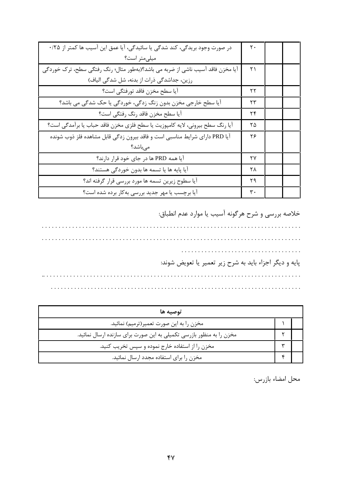| در صورت وجود بریدگی، کند شدگی یا سائیدگی، آیا عمق این آسیب ها کمتر از ۲۵/۰     | ٢٠ |  |
|--------------------------------------------------------------------------------|----|--|
| میلی متر است؟                                                                  |    |  |
| آیا مخزن فاقد آسیب ناشی از ضربه می باشد؟(بهطور مثال؛ رنگ رفتگی سطح، ترک خوردگی | ۲۱ |  |
| رزین، جداشدگی ذرات از بدنه، شل شدگی الیاف)                                     |    |  |
| أيا سطح مخزن فاقد تورفتگي است؟                                                 | ۲۲ |  |
| آیا سطح خارجی مخزن بدون زنگ زدگی، خوردگی یا حک شدگی می باشد؟                   | ۲۳ |  |
| أيا سطح مخزن فاقد رنگ رفتگي است؟                                               | ۲۴ |  |
| أيا رنگ سطح بيروني، لايه كامپوزيت يا سطح فلزي مخزن فاقد حباب يا برأمدگي است؟   | ۲۵ |  |
| آيا PRD داراي شرايط مناسبي است و فاقد بيرون زدگي قابل مشاهده فلز ذوب شونده     | ۲۶ |  |
| میباشد؟                                                                        |    |  |
| آیا همه PRD ها در جای خود قرار دارند؟                                          | ۲۷ |  |
| آيا پايه ها يا تسمه ها بدون خوردگي هستند؟                                      | ۲۸ |  |
| آیا سطوح زیرین تسمه ها مورد بررسی قرار گرفته اند؟                              | ۲۹ |  |
| آیا برچسب یا مهر جدید بررسی بهکار برده شده است؟                                | ٣٠ |  |

خلاصه بررسي و شرح هرگونه آسيب يا موارد عدم انطباق:

|  | پایه و دیگر اجزاء باید به شرح زیر تعمیر یا تعویض شوند: |
|--|--------------------------------------------------------|
|  |                                                        |
|  |                                                        |

| توصيه ها                                                             |  |  |  |  |
|----------------------------------------------------------------------|--|--|--|--|
| مخزن را به این صورت تعمیر(ترمیم) نمائید.                             |  |  |  |  |
| مخزن را به منظور بازرسی تکمیلی به این صورت برای سازنده ارسال نمائید. |  |  |  |  |
| مخزن را از استفاده خارج نموده و سپس تخریب کنید.                      |  |  |  |  |
| مخزن را برای استفاده مجدد ارسال نمائید.                              |  |  |  |  |

محل امضاء بازرس: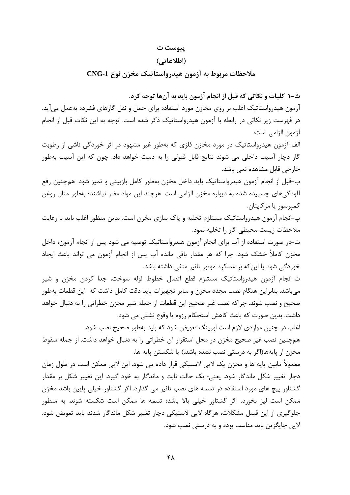#### ييوست ث

#### (اطلاعاتی)

ملاحظات مربوط به آزمون هیدرواستاتیک مخزن نوع CNG-1

ث-١ كليات و نكاتي كه قبل از انجام آزمون بايد به آنها توجه كرد.

آزمون هیدرواستاتیک اغلب بر روی مخازن مورد استفاده برای حمل و نقل گازهای فشرده بهعمل میآید. در فهرست زیر نکاتی در رابطه با آزمون هیدرواستاتیک ذکر شده است. توجه به این نکات قبل از انجام آزمون الزامي است:

الف-آزمون هیدرواستاتیک در مورد مخازن فلزی که بهطور غیر مشهود در اثر خوردگی ناشی از رطوبت گاز دچار آسیب داخلی می شوند نتایج قابل قبولی را به دست خواهد داد. چون که این آسیب بهطور خارجي قابل مشاهده نمي باشد.

ب-قبل از انجام آزمون هیدرواستاتیک باید داخل مخزن بهطور کامل بازبینی و تمیز شود. همچنین رفع آلودگیهای چسبیده شده به دیواره مخزن الزامی است. هرچند این مواد مضر نباشند؛ بهطور مثال روغن کمیرسور یا مرکایتان.

پ-انجام آزمون هیدرواستاتیک مستلزم تخلیه و پاک سازی مخزن است. بدین منظور اغلب باید با رعایت ملاحظات زيست محيطى گاز را تخليه نمود.

ت-در صورت استفاده از آب برای انجام آزمون هیدرواستاتیک توصیه می شود پس از انجام آزمون، داخل مخزن کاملاً خشک شود. چرا که هر مقدار باقی مانده آب پس از انجام آزمون می تواند باعث ایجاد خوردگی شود یا این که بر عملکرد موتور تاثیر منفی داشته باشد.

ث-انجام آزمون هيدرواستاتيک مستلزم قطع اتصال خطوط لوله سوخت، جدا کردن مخزن و شير می باشد. بنابراین هنگام نصب مجدد مخزن و سایر تجهیزات باید دقت کامل داشت که این قطعات بهطور صحيح و نصب شوند. چراكه نصب غير صحيح اين قطعات از جمله شير مخزن خطراتي را به دنبال خواهد داشت. بدین صورت که باعث کاهش استحکام رزوه یا وقوع نشتی می شود.

اغلب در چنین مواردی لازم است اورینگ تعویض شود که باید بهطور صحیح نصب شود. همچنین نصب غیر صحیح مخزن در محل استقرار آن خطراتی را به دنبال خواهد داشت. از جمله سقوط مخزن از پایهها(اگر به درستی نصب نشده باشد.) یا شکستن پایه ها.

معمولاً مابین پایه ها و مخزن یک لایی لاستیکی قرار داده می شود. این لایی ممکن است در طول زمان دچار تغییر شکل ماندگار شود. یعنی؛ یک حالت ثابت و ماندگار به خود گیرد. این تغییر شکل بر مقدار گشتاور پیچ های مورد استفاده در تسمه های نصب تاثیر می گذارد. اگر گشتاور خیلی پایین باشد مخزن ممکن است لیز بخورد. اگر گشتاور خیلی بالا باشد؛ تسمه ها ممکن است شکسته شوند. به منظور جلوگیری از این قبیل مشکلات، هرگاه لایی لاستیکی دچار تغییر شکل ماندگار شدند باید تعویض شود. لايي جايگزين بايد مناسب بوده و به درستي نصب شود.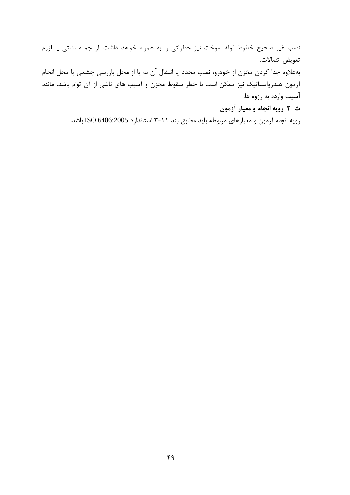نصب غیر صحیح خطوط لوله سوخت نیز خطراتی را به همراه خواهد داشت. از جمله نشتی یا لزوم تعويض اتصالات. بهعلاوه جدا كردن مخزن از خودرو، نصب مجدد يا انتقال آن به يا از محل بازرسي چشمي يا محل انجام آزمون هیدرواستاتیک نیز ممکن است با خطر سقوط مخزن و آسیب های ناشی از آن توام باشد. مانند آسیب وارده به رزوه ها.

ث-۲ رويه انجام و معيار آزمون

رویه انجام آرمون و معیارهای مربوطه باید مطابق بند ۱۱–۳ استاندارد ISO 6406:2005 باشد.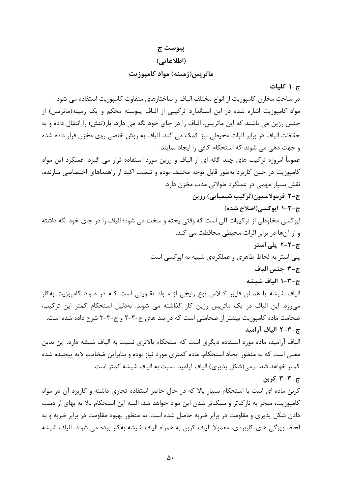#### پيوست ج

#### (اطلاعاتی)

### ماتریس(زمینه) مواد کامپوزیت

ج-١ كليات

در ساخت مخازن کامپوزیت از انواع مختلف الیاف و ساختارهای متفاوت کامپوزیت استفاده می شود. مواد کامپوزیت اشاره شده در این استاندارد ترکیبی از الیاف پیوسته محکم و یک زمینه(ماتریس) از جنس رزین می باشند که این ماتریس، الیاف را در جای خود نگه می دارد، بار(تنش) را انتقال داده و به حفاظت الیاف در برابر اثرات محیطی نیز کمک می کند. الیاف به روش خاصی روی مخزن قرار داده شده و جهت دهی می شوند که استحکام کافی را ایجاد نمایند. عموماً امروزه ترکیب های چند گانه ای از الیاف و رزین مورد استفاده قرار می گیرد. عملکرد این مواد کامپوزیت در حین کاربرد بهطور قابل توجه مختلف بوده و تبعیت اکید از راهنماهای اختصاصی سازنده، نقش بسيار مهمي در عملكرد طولاني مدت مخزن دارد. ج-۲ فرمولاسیون(ترکیب شیمیایی) رزین ج-٢-١ ايوكسي(اصلاح شده) اپوکسی مخلوطی از ترکیبات آلی است که وقتی پخته و سخت می شود؛ الیاف را در جای خود نگه داشته و از آنها در برابر اثرات محیطی محافظت می کند. ج-٢-٢ يلي استر يلي استر به لحاظ ظاهري و عملكردي شبيه به ايوكسي است. ج-٣ جنس الياف ج-٢-١ الياف شيشه الیاف شیشه یا همـان فایبر گــلاس نوع رایجی از مـواد تقــویتی است کـه در مــواد کامپوزیت بهکار می رود. این الیاف در یک ماتریس رزین کار گذاشته می شوند. بهدلیل استحکام کمتر این ترکیب، ضخامت ماده کامپوزیت بیشتر از ضخامتی است که در بند های ج-۳-۲ و ج-۳-۳ شرح داده شده است. ج-٣-٢ الياف آراميد الیاف آرامید، ماده مورد استفاده دیگری است که استحکام بالاتری نسبت به الیاف شیشه دارد. این بدین معنی است که به منظور ایجاد استحکام، ماده کمتری مورد نیاز بوده و بنابراین ضخامت لایه پیچیده شده كمتر خواهد شد. نرمي(شكل يذيري) الياف آراميد نسبت به الياف شيشه كمتر است. ج-۳-۳ کربن کربن ماده ای است با استحکام بسیار بالا که در حال حاضر استفاده تجاری داشته و کاربرد آن در مواد کامپوزیت، منجر به نازکتر و سبکتر شدن این مواد خواهد شد. البته این استحکام بالا به بهای از دست دادن شکل پذیری و مقاومت در برابر ضربه حاصل شده است. به منظور بهبود مقاومت در برابر ضربه و به

لحاظ ویژگی های کاربردی، معمولاً الیاف کربن به همراه الیاف شیشه بهکار برده می شوند. الیاف شیشه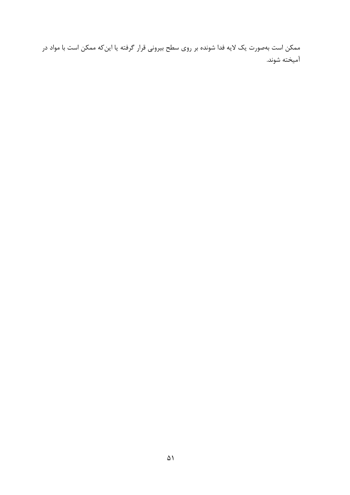ممکن است بهصورت یک لایه فدا شونده بر روی سطح بیرونی قرار گرفته یا این *ک*ه ممکن است با مواد در آميخته شوند.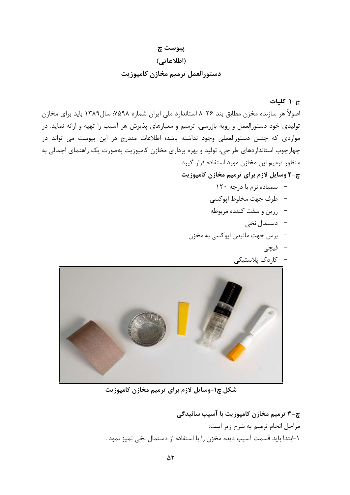## پيوست چ

(اطلاعاتی)

## دستورالعمل ترميم مخازن كامپوزيت

چ-۱ کلیات اصولاً هر سازنده مخزن مطابق بند ۲۶–۸ استاندارد ملی ایران شماره ۷۵۹۸: سال۱۳۸۹ باید برای مخازن تولیدی خود دستورالعمل و رویه بازرسی، ترمیم و معیارهای پذیرش هر آسیب را تهیه و ارائه نماید. در مواردی که چنین دستورالعملی وجود نداشته باشد؛ اطلاعات مندرج در این پیوست می تواند در چهارچوب استانداردهای طراحی، تولید و بهره برداری مخازن کامپوزیت بهصورت یک راهنمای اجمالی به منظور ترميم اين مخازن مورد استفاده قرار گيرد.

چ-۲ وسایل لازم برای ترمیم مخازن کامپوزیت

- سمباده نرم با درجه ۱۲۰
- ظرف جهت مخلوط اپوكسي
- رزين و سفت كننده مربوطه
	- دستمال ن*خی*
- –۔ برس جهت مالیدن ایوکسی به مخزن
	- قیچی



شکل چ۱-وسایل لازم برای ترمیم مخازن کامپوزیت

چ-۳ ترمیم مخازن کامپوزیت با آسیب سائیدگی مراحل انجام ترمیم به شرح زیر است: ١-ابتدا بايد قسمت آسيب ديده مخزن را با استفاده از دستمال نخى تميز نمود .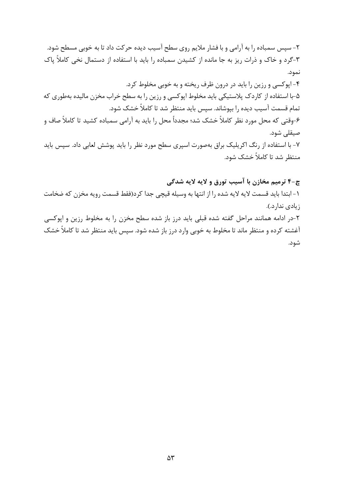۲- سیس سمباده را به آرامی و با فشار ملایم روی سطح آسیب دیده حرکت داد تا به خوبی مسطح شود. ۳-گرد و خاک و ذرات ریز به جا مانده از کشیدن سمباده را باید با استفاده از دستمال نخی کاملاً پاک نمود. ۴-اپوکسی و رزین را باید در درون ظرف ریخته و به خوبی مخلوط کرد. ۵-با استفاده از کاردک پلاستیکی باید مخلوط اپوکسی و رزین را به سطح خراب مخزن مالیده بهطوری که تمام قسمت آسیب دیده را بپوشاند. سپس باید منتظر شد تا کاملاً خشک شود. ۶-وقتی که محل مورد نظر کاملاً خشک شد؛ مجدداً محل را باید به آرامی سمباده کشید تا کاملاً صاف و صيقلى شود. ۷- با استفاده از رنگ اکریلیک براق بهصورت اسپری سطح مورد نظر را باید پوشش لعابی داد. سپس باید منتظر شد تا کاملاً خشک شود.

چ-۴ ترمیم مخازن با آسیب تورق و لایه لایه شدگی

١- ابتدا بايد قسمت لايه لايه شده را از انتها به وسيله قيچي جدا كرد(فقط قسمت رويه مخزن كه ضخامت زيادي ندارد.).

۲-در ادامه همانند مراحل گفته شده قبلی باید درز باز شده سطح مخزن را به مخلوط رزین و ایوکسی آغشته کرده و منتظر ماند تا مخلوط به خوبی وارد درز باز شده شود. سپس باید منتظر شد تا کاملاً خشک شود.